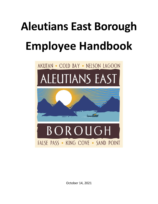# **Aleutians East Borough Employee Handbook**



October 14, 2021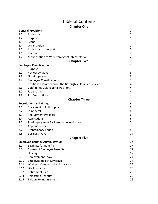# Table of Contents **Chapter One**

|      | <b>General Provisions</b>                                | 1              |
|------|----------------------------------------------------------|----------------|
| 1.1  | Authority                                                | 1              |
| 1.2  | Purpose                                                  | 1              |
| 1.3  | Scope                                                    | 1              |
| 1.4  | Organization                                             | 1              |
| 1.5  | Authority to Interpret                                   | $\overline{2}$ |
| 1.6  | Revisions                                                | $\overline{2}$ |
| 1.7  | Authorization to Vary from Strict Interpretation         | $\overline{2}$ |
|      | <b>Chapter Two</b>                                       |                |
|      | <b>Employee Classification</b>                           | 3              |
| 2.1  | Purpose                                                  | 3              |
| 2.2  | Review by Mayor                                          | 3              |
| 2.3  | Non-Employees                                            | 3              |
| 2.4  | <b>Employee Classifications</b>                          | 3              |
| 2.5  | Positions Exempted from the Borough's Classified Service | 4              |
| 2.6  | Confidential/Managerial Positions                        | 4              |
| 2.7  | Job-Sharing                                              | 4              |
| 2.8  | <b>Job Descriptions</b>                                  | 4              |
|      | <b>Chapter Three</b>                                     |                |
|      | <b>Recruitment and Hiring</b>                            | 6              |
| 3.1  | <b>Statement of Philosophy</b>                           | 6              |
| 3.2  | In General                                               | 6              |
| 3.3  | <b>Recruitment Practices</b>                             | 6              |
| 3.4  | Applications                                             | 6              |
| 3.5  | Pre-Employment Background Investigation                  | 7              |
| 3.6  | Appointments                                             | 7              |
| 3.7  | <b>Probationary Period</b>                               | 8              |
| 4.8  | <b>Business Travel</b>                                   | 14             |
|      | <b>Chapter Five</b>                                      |                |
|      | <b>Employee Benefits Administration</b>                  | 17             |
| 5.1  | <b>Eligibility for Benefits</b>                          | 17             |
| 5.2  | <b>Classes of Employee Benefits</b>                      | 17             |
| 5.3  | Holidays                                                 | 17             |
| 5.9  | <b>Bereavement Leave</b>                                 | 24             |
| 5.10 | <b>Employee Health Coverage</b>                          | 24             |
| 5.11 | <b>Workers' Compensation Insurance</b>                   | 25             |
| 5.12 | Life Insurance                                           | 25             |
| 5.13 | <b>Retirement Plan</b>                                   | 25             |
| 5.14 | <b>Relocating Benefits</b>                               | 25             |
| 5.15 | <b>Tuition Reimbursement</b>                             | 26             |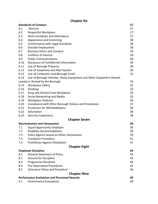# **Chapter Six**

|                                                           | <b>Standards of Conduct</b>                                         | 27 |
|-----------------------------------------------------------|---------------------------------------------------------------------|----|
| 6.1                                                       | General                                                             | 27 |
| 6.2                                                       | Respectful Workplace                                                | 27 |
| 6.3                                                       | Work Schedules and Attendance                                       | 27 |
| 6.4                                                       | Appearance and Grooming                                             | 28 |
| 6.5                                                       | Conformance with Legal Standards                                    | 28 |
| 6.6                                                       | <b>Outside Employment</b>                                           | 28 |
| 6.7                                                       | <b>Business Ethics and Conduct</b>                                  | 29 |
| 6.8                                                       | <b>Conflicts of Interest</b>                                        | 29 |
| 6.9                                                       | <b>Public Communications</b>                                        | 30 |
| 6.10                                                      | Disclosure of Confidential Information                              | 30 |
| 6.11                                                      | Use of Borough Property                                             | 30 |
| 6.12                                                      | Use of Telephone and Mail System                                    | 30 |
| 6.13                                                      | Use of Computers and Borough Email                                  | 31 |
| 6.14                                                      | Use of Borough Vehicles, Heavy Equipment and Other Equipment Owned, |    |
|                                                           | Leased or Rented by the Borough                                     | 32 |
| 6.15                                                      | <b>Workplace Safety</b>                                             | 32 |
| 6.16                                                      | Smoking                                                             | 33 |
| 6.17                                                      | Drug and Alcohol-Free Workplace                                     | 33 |
| 6.18                                                      | Social Networking and Media                                         | 35 |
| 6.19                                                      | <b>Workplace Violence</b>                                           | 36 |
| 6.20                                                      | Compliance with Other Borough Policies and Procedures               | 37 |
| 6.21                                                      | <b>Protection for Whistleblowers</b>                                | 38 |
| 6.22                                                      | Solicitation                                                        | 38 |
| 6.23                                                      | <b>Security Inspections</b>                                         | 38 |
|                                                           | <b>Chapter Seven</b>                                                |    |
|                                                           | <b>Discrimination and Harassment</b>                                | 39 |
| 7.1                                                       | <b>Equal Opportunity Employer</b>                                   | 39 |
| 7.2                                                       | <b>Disability Accommodations</b>                                    | 39 |
| 7.3                                                       | Policy Against Sexual an Other Harassment                           | 39 |
| 7.4                                                       | <b>Complaint Procedure</b>                                          | 41 |
| 7.5                                                       | <b>Prohibition Against Retaliation</b>                              | 41 |
|                                                           | <b>Chapter Eight</b>                                                |    |
|                                                           | <b>Employee Discipline</b>                                          | 43 |
| 8.1                                                       | <b>General Statement of Policy</b>                                  | 43 |
| 8.2                                                       | <b>Ground for Discipline</b>                                        | 43 |
| 8.3                                                       | Progressive Discipline                                              | 44 |
| 8.4                                                       | <b>Pre-Deprivation Procedures</b>                                   | 45 |
| 8.5                                                       | <b>Grievance Policy and Procedure</b>                               | 46 |
|                                                           | <b>Chapter Nine</b>                                                 |    |
| <b>Performance Evaluation and Personnel Records</b><br>49 |                                                                     |    |
| 9.1                                                       | <b>Performance Evaluations</b>                                      | 49 |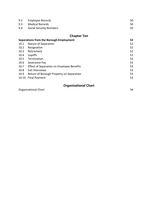| 9.2 | Employee Records        | 50 |
|-----|-------------------------|----|
|     | 9.3 Medical Records     | 50 |
| 9.4 | Social Security Numbers | 50 |

# **Chapter Ten**

|       | <b>Chapter Ten</b>                        |    |
|-------|-------------------------------------------|----|
|       | Separations from the Borough Employment   | 52 |
| 10.1  | Nature of Separation                      | 52 |
| 10.2  | Resignation                               | 52 |
| 10.3  | Retirement                                | 52 |
| 10.4  | Layoffs                                   | 52 |
| 10.5  | Termination                               | 52 |
| 10.6  | Severance Pay                             | 53 |
| 10.7  | Effect of Separation on Employee Benefits | 53 |
| 10.8  | Exit Interviews                           | 53 |
| 10.9  | Return of Borough Property on Separation  | 53 |
| 10.10 | <b>Final Payment</b>                      | 53 |

# **Organizational Chart**

Organizational Chart 54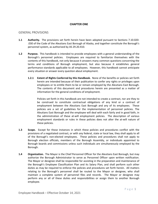# **CHAPTER ONE**

# GENERAL PROVISIONS

- **1.1 Authority.** The provisions set forth herein have been adopted pursuant to Sections 7.10.020- .030 of the Code of the Aleutians East Borough of Alaska, and together constitute the Borough's personnel system, as authorized by AS 29.20.410.
- **1.2 Purpose.** This handbook is intended to provide employees with a general understanding of the Borough's personnel policies. Employees are required to familiarize themselves with the contents of this handbook, not only because it answers many common questions concerning the terms and conditions of Borough employment, but also because it establishes general performance standards applicable to all employees. However, this handbook cannot anticipate every situation or answer every question about employment.
	- **1.2.1 Extent of Rights Conferred by this Handbook.** None of the benefits or policies set forth herein are intended because of their publication to confer any rights or privileges upon employees or to entitle them to be or remain employed by the Aleutians East Borough. The contents of this document and procedures herein are presented as a matter of information for the general conditions of employment.

Policies set forth in this handbook are not intended to create a contract, nor are they to be construed to constitute contractual obligations of any kind or a contract of employment between the Aleutians East Borough and any of its employees. These policies are a set of guidelines for the implementation of personnel policies. The Aleutians East Borough and the employee will deal with each fairly and in good faith, in the administration of these at-will employment policies. The description of various employment standards or rules in these policies does not alter the at-will nature of these policies.

- **1.3 Scope.** Except for those instances in which these policies and procedures conflict with the provisions of a negotiated contract, or with any federal, state or local law, they shall apply to all of the Borough's non-elected employees. These policies and procedures shall not apply to Borough election officials, members of the Borough Assembly, or individuals appointed to Borough boards and commissions unless such individuals are simultaneously employed by the Borough.
- **1.4 Organization.** The Mayor is the Chief Personnel Officer for the Aleutians East Borough, but may authorize the Borough Administrator to serve as Personnel Officer upon written notification. The Mayor or designee shall be responsible for assisting in the preparation and maintenance of the Borough's Employee Classification Plan and its Salary Plan, and shall perform such other duties as may be required to enforce the policies and procedures set forth herein. All matters relating to the Borough's personnel shall be routed to the Mayor or designee, who shall maintain a complete system of personnel files and records. The Mayor or designee may perform any or all of these duties and responsibilities or assign them to another Borough employee.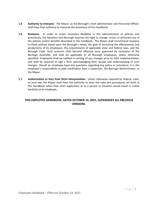- **1.5 Authority to Interpret.** The Mayor, as the Borough's chief administrator and Personnel Officer, shall have final authority to interpret the provisions of this Handbook.
- **1.6 Revisions.** In order to retain necessary flexibility in the administration of policies and procedures, the Aleutians East Borough reserves the right to change, revise, or eliminate any of the policies and/or benefits described in this handbook. The Mayor shall recommend revisions to these policies based upon the Borough's needs, the goal of increasing the effectiveness and productivity of its employees, the requirements of applicable state and federal laws, and the Borough Code. Such revisions shall become effective once approved by resolution of the Borough Assembly, and shall be applicable to all Borough employees, unless otherwise specified. Employees shall be notified in writing of any changes prior to their implementation, and shall be required to sign a form acknowledging their receipt and understanding of such changes. Should an employee have any questions regarding any policy or procedure, it is the employee's responsibility to seek clarification from a supervisor, the Borough Administrator, or the Mayor.
- **1.7 Authorization to Vary from Strict Interpretation.** Unless otherwise required by federal, state, or local law, the Mayor shall have the authority to relax the rules and procedures set forth in this Handbook when their strict application as to a person or situation would result in undue hardship to an employee.

# **THIS EMPLOYEE HANDBOOK, DATED OCTOBER 14, 2021, SUPERSEDES ALL PREVIOUS VERSIONS.**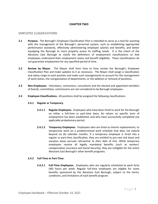# **CHAPTER TWO**

# EMPLOYEE CLASSIFICATIONS

- **2.1 Purpose.** The Borough's Employee Classification Plan is intended to serve as a tool for assisting with the management of the Borough's personnel system, such as establishing appropriate performance standards, effectively administering employee salaries and benefits, and better equipping the Borough to more properly assess its staffing needs. It is the intent of the Aleutians East Borough to clarify the definitions of employment classifications so that employees understand their employment status and benefit eligibility. These classifications do not guarantee employment for any specified period of time.
- **2.2 Review by Mayor.** The Mayor shall from time to time review the Borough's Employee Classification Plan and make updates to it as necessary. The Mayor shall assign a classification and salary range to each position and make such reassignments to account for the reassignment of work duties, the reorganization of departments, or the addition or removal of positions.
- **2.3 Non-Employees.** Volunteers, contractors, consultants and the elected and appointed members of boards, committees, commissions are not considered to be Borough employees.
- **2.4 Employee Classifications.** All positions shall be assigned the following classifications:

#### **2.4.1 Regular or Temporary.**

- **2.4.1.1 Regular Employees.** Employees who have been hired to work for the Borough on either a full-time or part-time basis, for whom no specific term of employment has been established, and who have successfully completed any applicable probationary period.
- **2.4.1.2 Temporary Employees.** Employees who are hired as interim replacements, to temporarily work on a predetermined work schedule that does not extend beyond six (6) calendar months. If a temporary employee is hired into a regular or part-time classification, they are entitled to pro-rata sick leave and vacation leave accruals retroactive to their date of hire. While temporary employees receive all legally mandated benefits (such as workers' compensation insurance and Social Security), they are ineligible for the entire Aleutians East Borough's other benefit programs.

# **2.4.2 Full-Time or Part-Time.**

**2.4.2.1 Full-Time Employees.** Employees who are regularly scheduled to work forty (40) hours per week. Regular full-time employees are eligible for some benefits sponsored by the Aleutians East Borough, subject to the terms, conditions, and limitations of each benefit program.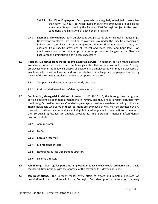- **2.4.2.2 Part-Time Employees.** Employees who are regularly scheduled to work less than forty (40) hours per week. Regular part-time employees are eligible for some benefits sponsored by the Aleutians East Borough, subject to the terms, conditions, and limitations of each benefit program.
- **2.4.3 Exempt or Nonexempt.** Each employee is designated as either exempt or nonexempt. Nonexempt employees are entitled to overtime pay under the specific provisions of federal and state laws. Exempt employees, due to their managerial nature, are excluded from specific provisions of federal and state wage and hour laws. An employee's classification as exempt or nonexempt may be changed by the Aleutians East Borough administration as it deems necessary.
- **2.5 Positions Exempted from the Borough's Classified Service.** In addition, certain other positions are also expressly excluded from the Borough's classified service. As such, those Borough employees within the following classes of positions are employed at-will, may be dismissed at any time with or without cause, and are not eligible to challenge any employment action by means of the Borough's employee grievance or appeals processes:
	- **2.5.1** Temporary and other non-regular hourly positions.
	- **2.5.2** Positions designated as confidential/managerial in nature.
- **2.6 Confidential/Managerial Positions.** Pursuant to AS 29.20.410, the Borough has designated certain positions as confidential/managerial in nature, and they are as a result excluded from the Borough's classified service. Confidential/managerial positions are determined by ordinance. Those individuals who serve in these positions are employed at will, may be dismissed at any time with or without cause, and are not eligible to challenge employment actions by means of the Borough's grievance or appeals procedures. The Borough's managerial/confidential positions include:
	- **2.6.1** Administrator.
	- **2.6.2** Clerk.
	- **2.6.3** Borough Attorney.
	- **2.6.4** Maintenance Director.
	- **2.6.5** Natural Resources Department Director.
	- **2.6.6** Finance Director.
- **2.7 Job-Sharing.** Two regular part-time employees may split what would ordinarily be a single regular full-time position with the approval of the Mayor or the Mayor's designee.
- **2.8 Job Descriptions.** The Borough makes every effort to create and maintain accurate job descriptions for all positions within the Borough. Each description includes a job summary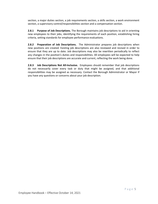section, a major duties section, a job requirements section, a skills section, a work environment section, a supervisory control/responsibilities section and a compensation section.

**2.8.1 Purpose of Job Descriptions.** The Borough maintains job descriptions to aid in orienting new employees to their jobs, identifying the requirements of each position, establishing hiring criteria, setting standards for employee performance evaluations.

**2.8.2 Preparation of Job Descriptions.** The Administrator prepares job descriptions when new positions are created. Existing job descriptions are also reviewed and revised in order to ensure that they are up to date. Job descriptions may also be rewritten periodically to reflect any changes in the position's duties and responsibilities. All employees will be expected to help ensure that their job descriptions are accurate and current, reflecting the work being done.

**2.8.3 Job Descriptions Not All-Inclusive.** Employees should remember that job descriptions do not necessarily cover every task or duty that might be assigned, and that additional responsibilities may be assigned as necessary. Contact the Borough Administrator or Mayor if you have any questions or concerns about your job description.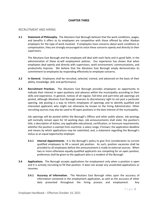# **CHAPTER THREE**

# RECRUITMENT AND HIRING

**3.1 Statement of Philosophy.** The Aleutians East Borough believes that the work conditions, wages, and benefits it offers to its employees are competitive with those offered by other Alaskan employers for the type of work involved. If employees have concerns about work conditions or compensation, they are strongly encouraged to voice these concerns openly and directly to their supervisors.

The Aleutians East Borough and the employee will deal with each fairly and in good faith, in the administration of these at-will employment policies. Our experience has shown that when employees deal openly and directly with supervisors, work environment, communications, and productivity improve. We believe that the Aleutians East Borough amply demonstrates its commitment to employees by responding effectively to employee concerns.

- **3.2 In General.** Employees shall be recruited, selected, trained, and advanced on the basis of their ability, knowledge, skill, and performance.
- **3.3 Recruitment Practices.** The Aleutians East Borough provides employees an opportunity to indicate their interest in open positions and advance within the municipality according to their skills and experience. In general, notices of all regular, full-time and part-time job openings are posted, although Aleutians East Borough reserves its discretionary right to not post a particular opening. Job posting is a way to inform employees of openings and to identify qualified and interested applicants who might not otherwise be known to the hiring Administrator. Other recruiting sources may also be used to fill open positions in the best interest of the municipality.

Job openings will be posted within the Borough's Offices and other public places. Job postings will normally remain open for 10 working days. Job announcements shall state: the position's title; a description of duties; any applicable educational, certification, or licensure requirements; whether the position is exempt from overtime; a salary range, if known; the application deadline and means by which applications may be submitted; and, a statement regarding the Borough's status as an equal opportunity employer.

- **3.3.1 Internal Appointments.** It is the Borough's policy to give first consideration to current qualified employees to fill a vacant job position. As such, position vacancies shall be provided to all employees before the announcement is made to external sources. When two or more otherwise equally-qualified applicants are competing for an open position, preference shall be given to the applicant who is a resident of the Borough.
- **3.4 Applications.** The Borough accepts applications for employment only when a position is open and it is actively recruiting to fill that position. It does not accept any unsolicited applications or resumes.
	- **3.4.1 Accuracy of Information.** The Aleutians East Borough relies upon the accuracy of information contained in the employment application, as well as the accuracy of other data presented throughout the hiring process and employment. Any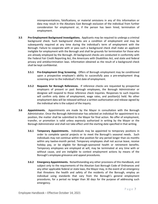misrepresentations, falsifications, or material omissions in any of this information or data may result in the Aleutians East Borough exclusion of the individual from further consideration for employment or, if the person has been hired, termination of employment.

- **3.5 Pre-Employment Background Investigations.** Applicants may be required to undergo a criminal background check. Such background checks are a condition of employment and may be subsequently required at any time during the individual's term of employment with the Borough. Failure to cooperate with or pass such a background check shall make an applicant ineligible for employment with the Borough and shall be grounds for termination for those who are already employed by the Borough. All background checks are conducted in conformity with the Federal Fair Credit Reporting Act, the Americans with Disabilities Act, and state and federal privacy and antidiscrimination laws. Information obtained as the result of a background check shall be kept confidential.
	- **3.5.1 Pre-Employment Drug Screening.** Offers of Borough employment may be conditioned upon a prospective employee's ability to successfully pass a pre-employment drug screening prior to the individual's first date of employment.
	- **3.5.2 Requests for Borough References.** If reference checks are requested by prospective employers of present or past Borough employees, the Borough Administrator or designee will respond to those reference check inquiries. Responses to such inquiries will confirm only dates of employment, wage rates, and position(s) held. No other employment data will be released without a written authorization and release signed by the individual who is the subject of the inquiry.
- **3.6 Appointments.** Appointments are made by the Mayor in consultation with the Borough Administrator. Once the Borough Administrator has selected an individual for appointment to a position, the matter shall be submitted to the Mayor for final action. No offer of employment, transfer, or promotion is valid unless expressly authorized in writing by the Mayor or the Borough Administrator and shall not take effect until the starting date specified in that writing.
	- **3.6.1 Temporary Appointments.** Individuals may be appointed to temporary positions in order to complete special projects or to meet the Borough's seasonal needs. Such individuals may not continue within that position for any period longer than six months within any twelve-month period. Temporary employees shall not accrue leave, receive holiday pay, or be eligible for Borough-sponsored health or retirement benefits. Temporary employees are employed at will, may be terminated at any time with or without cause, and are ineligible to contest employment actions by means of the Borough's employee grievance and appeal procedures.
	- **3.6.2 Emergency Appointments.** Notwithstanding any other provisions of this Handbook, and subject only to the requirements of the Aleutian East Borough Code of Ordinances and any other applicable federal or state laws, the Mayor may, in the event of an emergency that threatens the health and safety of the residents of the Borough, employ an individual using standards that vary from the Borough's general employment procedures, for a period no longer than 30 days for the purpose of addressing such emergency.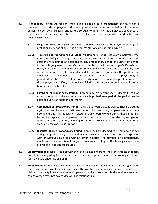- **3.7 Probationary Period.** All regular employees are subject to a probationary period, which is intended to provide employees with the opportunity to demonstrate their ability to meet established performance goals, and for the Borough to determine the employee's suitability for the position. The Borough uses this period to evaluate employee capabilities, work habits, and overall performance.
	- **3.7.1 Length of Probationary Period.** Unless otherwise waived by the Mayor in writing, the probationary period shall be the first six months of continual employment.
	- **3.7.2 Transfers and Promotions Subject to Probationary Period.** Borough employees who, after completing an initial probationary period, are transferred or promoted to another position are subject to an additional 90-day probationary period. If, during that period, in the sole judgment of the Mayor in consultation with an employee's Department Head, if applicable, the employee is determined to have not achieved a satisfactory level of performance or is otherwise deemed to be unsuccessful within the position, the employee may be removed from the position. If this occurs, the employee may be permitted to return to his or her former position, or to a comparable position for which the employee is qualified, if it remains unfilled, and the Mayor determines it to be in the Borough's best interests.
	- **3.7.3 Extension of Probationary Period.** If an employee's performance is deemed less than satisfactory prior to the end of any applicable probationary period, the period may be extended up to an additional six months.
	- **3.7.4 Completion of Probationary Period.** Only those hours actually worked shall be credited against an employee's probationary period. If a temporary employee is hired on a permanent basis, at the Mayor's discretion, any hours worked during that period may be credited against the employee's probationary period. Upon satisfactory completion of the probationary period, new employees will be considered to have entered into the "regular" employee classification.
	- **3.7.5 Dismissal During Probationary Period.** Employees are deemed to be employed at will during the probationary period and may be dismissed at any time before its expiration with or without cause, and without advance notice. The dismissal of a probationary employee is final and is not subject to review according to the Borough's employee grievance or appeals procedures.
- **3.8 Employment of Minors.** The Borough shall at all times adhere to the requirements of federal and state law regarding the permitted hours, minimum age, and permissible working conditions for individuals under the age of 18.
- **3.9 Employment of Relatives.** The employment of relatives in the same area of an organization may cause serious conflicts and problems with favoritism and employee morale. In addition to claims of partiality in treatment at work, personal conflicts from outside the work environment can be carried over into day-to-day working relationships.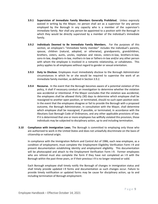- **3.9.1 Supervision of Immediate Family Members Generally Prohibited.** Unless expressly waived in writing by the Mayor, no person shall act as a supervisor for any person employed by the Borough in any capacity who is a member of the supervisor's immediate family. Nor shall any person be appointed to a position with the Borough in which they would be directly supervised by a member of the individual's immediate family.
- **3.9.2 Individuals Deemed to Be Immediate Family Members.** For the purposes of this section, an employee's "immediate family member" includes the individual's parents, spouse, children (natural, adopted, or otherwise), grandparents, grandchildren, brothers, sisters, aunts, uncles, nephews and nieces, sisters-in-law, brothers-in-law, sons-in-law, daughters-in-law, mothers-in-law or fathers-in-law and/or any other person with whom the employee is involved in a romantic relationship, or cohabitates. This policy applies to all employees without regard to gender or sexual orientation.
- **3.9.3 Duty to Disclose.** Employees must immediately disclose to the Borough Administrator circumstances in which he or she would be required to supervise the work of an immediate family member, as defined in Section 3.9.2.
- **3.9.4 Recourse.** In the event that the Borough becomes aware of a potential violation of this policy, it shall if necessary conduct an investigation to determine whether the violation was accidental or intentional. If the Mayor concludes that the violation was accidental, the employees shall be allowed thirty (30) days to determine which employee shall be reassigned to another open position, or terminated, should no such open position exist. In the event that the employees disagree or fail to provide the Borough with a proposed outcome, the Borough Administrator, in consultation with the Mayor, shall determine which employee shall be reassigned, if possible, or terminated, in accordance with the Aleutians East Borough Code of Ordinances, and any other applicable provisions of law. If it is determined that one or more employees has willfully violated this provision, those individuals may be subjected to disciplinary action, up to and including termination.
- **3.10 Compliance with Immigration Laws.** The Borough is committed to employing only those who are authorized to work in the United States and does not unlawfully discriminate on the basis of citizenship or national origin.

In compliance with the Immigration Reform and Control Act of 1986, each new employee, as a condition of employment, must complete the Employment Eligibility Verification Form I-9 and present documentation establishing identity and employment eligibility. This documentation will be photocopied and attach to the Employment Verification Form I-9. Former employees who are rehired must also complete the form if they have not completed an I-9 with the Borough within the past three years, or if their previous I-9 is no longer retained or valid.

Each Borough employee shall timely notify the Borough of changes in immigration status and shall timely provide updated I-9 forms and documentation as such changes occur. Failure to provide timely notification or updated forms may be cause for disciplinary action, up to and including termination of Borough employment.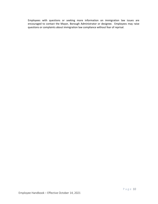Employees with questions or seeking more information on immigration law issues are encouraged to contact the Mayor, Borough Administrator or designee. Employees may raise questions or complaints about immigration law compliance without fear of reprisal.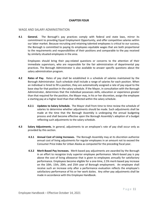# **CHAPTER FOUR**

# WAGE AND SALARY ADMINISTRATION

**4.1 General.** The Borough's pay practices comply with federal and state laws, mirror its commitment to providing Equal Employment Opportunity, and offer competitive salaries within our labor market. Because recruiting and retaining talented employees is critical to our success, the Borough is committed to paying its employees equitable wages that are both proportional to the requirements and responsibilities of their positions and comparable to the pay received by similarly situated employees in the area.

Employees should bring their pay-related questions or concerns to the attention of their immediate supervisors, who are responsible for the fair administration of departmental pay practices. The Borough Administrator is also available to answer specific questions about the salary administration program.

- **4.2 Rates of Pay.** Rates of pay shall be established in a schedule of salaries maintained by the Borough Administrator. Such schedule shall include a range of salaries for each position. When an individual is hired to fill a position, they are automatically assigned a rate of pay equal to the base step for that position in the salary schedule. If the Mayor, in consultation with the Borough Administrator, determines that the individual possesses skills, education or experience greater than that required for the position, the Mayor may, in his or her discretion, assign the employee a starting pay at a higher level than that reflected within the salary schedule.
	- **4.2.1 Updates to Salary Schedule.** The Mayor shall from time to time review the schedule of salaries to determine whether adjustments should be made. Such adjustments shall be made at the time that the Borough Assembly is undergoing the annual budgeting process and shall become effective upon the Borough Assembly's adoption of a budget reflecting such adjustments to the salary schedule.
- **4.3 Salary Adjustments.** In general, adjustments to an employee's rate of pay shall occur only as provided by this section.
	- **4.3.1 Annual Cost of Living Increases.** The Borough Assembly may at its discretion authorize annual cost of living adjustments for regular employees in an amount not to exceed the Consumer Price Index for Urban Alaska as computed for the preceding fiscal year.
	- **4.3.2 Merit-Based Pay Increases.** Merit-based pay adjustments are awarded by the Borough in an effort to recognize truly superior employee performance. Merit-based pay is pay above the cost of living allowance that is given to employees annually for satisfactory performance. Employees become eligible for a one-time, 2.5% merit-based pay increase on the 10th, 15th, 20th, and 25th year of Borough employment. An employee shall receive such an increase only after a performance evaluation reflects the employee's satisfactory performance of his or her work duties. Any other pay adjustments shall be made in accordance with this Employee Handbook.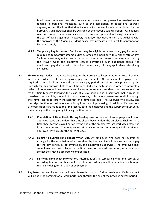Merit-based increases may also be awarded when an employee has reached some tangible, professional milestone, such as the completion of educational courses, degrees, or certifications that directly relate to the employee's work duties for the Borough. Such increases shall be awarded at the Mayor's sole discretion. As a general rule, such compensation may be awarded at any level up to and including the amount of the cost of living adjustment; however, the Mayor may deviate from this guideline with the approval of the Assembly. Merit-based pay increases are subject to appropriation by the Assembly.

- **4.3.3 Temporary Pay Increases.** Employees may be eligible for a temporary pay increase if required to temporarily assume duties assigned to a position with a higher rate of pay. Such increases may not exceed a period of six months, unless otherwise approved by the Mayor. Once the employee ceases performing such additional duties, the employee's pay shall revert to his or her former salary, plus any applicable cost-of-living increases.
- **4.4 Timekeeping.** Federal and state laws require the Borough to keep an accurate record of time worked in order to calculate employee pay and benefits. All non-exempt employees are required to record all time worked during each pay period on a time sheet provided by the Borough for this purpose. Entries must be recorded on a daily basis, in order to accurately reflect all hours worked. Non-exempt employees must submit time sheets to their supervisors by the first Monday following the close of a pay period, and supervisors shall turn in all timesheets to payroll by the end of that business day. It is the employees' responsibility to sign their time records to certify the accuracy of all time recorded. The supervisor will review and then sign the time record before submitting it for payroll processing. In addition, if corrections or modifications are made to the time record, both the employee and the supervisor must verify the accuracy of the changes by initialing the time record.
	- **4.4.1 Completion of Time Sheets During Pre-Approved Absences.** If an employee will be on approved leave on the date that time sheets become due, the employee shall turn in a time sheet for the payroll period by the end of the employee's last work day before the leave commences. The employee's time sheet must be accompanied by signed, approved leave slips for the dates of leave.
	- **4.4.2 Failure to Submit Time Sheets When Due.** An employee who does not submit, or arrange for the submission, of a time sheet by the deadline will receive only basic pay for the pay period, as determined by the employee's supervisor. The employee shall submit any overtime or leave on the time sheet for the next pay period, with notations, so that they may be accurately compensated.
	- **4.4.3 Falsifying Time Sheet Information.** Altering, falsifying, tampering with time records, or recording time on another employee's time record may result in disciplinary action, up to and including termination of employment.
- **4.5 Pay Dates.** All employees are paid on a bi-weekly basis, or 26 times each year. Each paycheck will include the earnings for all work performed through the end of the previous payroll period.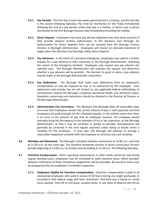- **4.5.1 Pay Periods.** The first day in each two-week payroll period is a Sunday, and the last day is the second following Saturday. Pay shall be distributed on the Friday immediately following the end of a pay period, unless that day is a holiday, in which case it will be distributed on the first Borough business day immediately preceding the holiday.
- **4.5.2 Direct Deposit.** Employees may have pay directly deposited into their bank accounts if they provide advance written authorization to the Aleutians East Borough. An Authorization for Direct Deposits form can be received from the Borough Finance Director or Borough Administrator. Employees will receive an itemized statement of wages when the Aleutians East Borough makes direct deposits.
- **4.5.3 Pay Advances.** In the event of a personal emergency, employees may submit a written request for a pay advance to their supervisor or the Borough Administrator, indicating the nature of the emergency involved. Employees may request one pay advance per calendar year. The Borough Administrator will evaluate the request and determine whether a pay advance will be granted. The decision to grant or deny a pay advance may be made at the Borough Administrator's discretion.
- **4.5.4 Pay Deductions.** The Borough shall make such deductions from an employee's compensation as may be required by law, or as authorized by the employee. Such deductions may include, but are not limited to, any applicable federal withholding, or contributions toward the Borough's employer-sponsored health and retirement plans. Questions concerning such deductions should be directed to the Director of Finance or the Borough Administrator.
- **4.5.5 Administrative Pay Corrections.** The Aleutians East Borough takes all reasonable steps to ensure that employees receive the correct amount of pay in each paycheck and that employees are paid promptly on the scheduled payday. In the unlikely event that there is an error in the amount of pay that an employee receives, the employee should promptly bring the discrepancy to the attention of his or her supervisor, or the Borough Administrator, so that it may be corrected as quickly as possible. Overpayments will generally be corrected in the next regular paycheck unless doing so would create a hardship for the employee. In that case, the Borough will attempt to arrange a reasonable repayment schedule with the employee to minimize any such hardship.
- **4.6 Workday and Workweek.** The Borough's standard workday commences at 12:00 a.m. and ends at 11:59 p.m. on the same day. The standard workweek consists of seven consecutive 24-hour periods beginning at 12:00 a.m. on Sunday and concluding at 11:59 p.m. the following Saturday.
- **4.7 Overtime Compensation.** When operating requirements or other needs cannot be met during regular working hours, employees may be scheduled to work overtime hours. When possible, advance notification of these mandatory assignments will be provided. All overtime work must be preapproved by the employee's immediate supervisor.
	- **4.7.1 Employees Eligible for Overtime Compensation.** Overtime compensation is paid to all nonexempt employees who work in excess of 40 hours during any single workweek, in accordance with federal wage and hour restrictions. Overtime pay is based on actual hours worked. Time off on sick leave, vacation leave, or any leave of absence will not be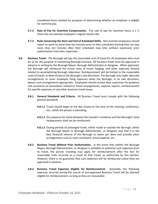considered hours worked for purposes of determining whether an employee is eligible for overtime pay.

- **4.7.2 Rate of Pay for Overtime Compensation.** The rate of pay for overtime hours is 1 ½ times the non-exempt employee's regular hourly rate.
- **4.7.3 Rules Governing the Start and End of Scheduled Shifts.** Non-exempt employees should report to work no more than ten minutes prior to their scheduled starting time nor stay more than ten minutes after their scheduled stop time without expressed, prior authorization from their supervisor.
- **4.8 Business Travel.** The Borough will pay the reasonable cost of travel for all employees who must do so for the purpose of conducting Borough business. All business travel must be approved in advance in writing by the Borough Mayor, Borough Administrator or designee. When approved, the Borough will reimburse the actual costs of travel, lodging, and other expenses directly related to accomplishing Borough objectives. Reimbursement will be limited to the reasonable costs of travel, as determined at the Borough's sole discretion. The Borough may make alternate arrangements to cover employee living expenses when the Borough, in its sole discretion, deems such arrangements appropriate. Employees should contact their supervisor for guidance and assistance on procedures related to travel arrangements, expense reports, reimbursement for specific expenses, or any other business travel issues.
	- **4.8.1 General Standards and Criteria.** All Business Travel must comply with the following general standards.
		- **4.8.1.1** Travel should begin at the day closest to the time of the meeting, conference, etc., which the person is attending.
		- **4.8.1.2** Any expense for travel between the traveler's residence and the Borough's local headquarters shall not be reimbursed.
		- **4.8.1.3** During periods of prolonged travel, either inside or outside the Borough, either the Borough Mayor or Borough Administrator, or designee may find it in the best financial interest of the Borough to waive per diem and provide other arrangements such as room and board, actual expense, etc.
	- **4.8.2 Business Travel Without Prior Authorization.** In the event that neither the Borough Mayor, Borough Administrator, or designee is available to authorize such expenses prior to travel, the person traveling may apply for reimbursement after the fact for reasonable costs incurred as a result of that travel, as authorized by this Section. However, there is no guarantee that such expenses will be reimbursed unless they are approved in advance.
	- **4.8.3 Business Travel Expenses Eligible for Reimbursement.** Generally, the following expenses incurred during the course of pre-approved Business Travel will be deemed eligible for reimbursement, so long as they are reasonable: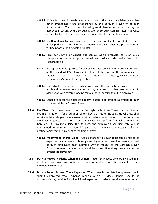- **4.8.3.1** Airfare for travel in coach or economy class or the lowest available fare unless other arrangements are preapproved by the Borough Mayor or Borough Administrator. The costs for chartering an airplane or vessel must always be approved in writing by the Borough Mayor or Borough Administrator in advance of the charter of the airplane or vessel to be eligible for reimbursement.
- **4.8.3.2 Car Rental and Parking Fees.** The costs for car rental and associated fees, such as for parking, are eligible for reimbursement only if they are preapproved in writing prior to the first date of rental.
- **4.8.3.3** Fares for shuttle or airport bus service, where available; costs of public transportation for other ground travel, and taxi and ride service fares, plus reasonable tip.
- **4.8.3.4** Preapproved mileage costs for use of personal cars while on Borough business, at the standard IRS allowance in effect at the time of the reimbursement request. Current rates are available at: https://www.irs.gov/taxprofessionals/standard-mileage-rates.
- **4.8.3.5** The actual costs for lodging while away from the Borough on Business Travel. Incidental expenses not authorized by this section that are incurred in association with covered lodging remain the responsibility of the employee.
- **4.8.3.6** Other pre-approved expenses directly related to accomplishing official Borough business while on Business Travel.
- **4.8.4 Per Diem.** Employees away from the Borough on Business Travel that requires an overnight stay or is for a duration of ten hours or more, including travel time, shall receive a daily rate per diem allowance, either before departure or upon return, as the employee requests. The rate of per diem shall be \$65/day if traveling within the Borough. If traveling outside the Borough, the employee's per diem rate will be determined according to the federal Department of Defense local meals rate for the destination(s) that are in effect at the time of travel.
	- **4.8.4.1 Prepayment of Per Diem.** Cash advances to cover reasonable anticipated expenses may be made to Borough employees after travel has been approved. Borough employees must submit a written request to the Borough Mayor, Borough Administrator or designee at least five (5) working days ahead of the anticipated travel date.
- **4.8.5 Duty to Report Accidents When on Business Travel.** Employees who are involved in an accident while travelling on business must promptly report the incident to their immediate supervisor.
- **4.8.6 Duty to Report Business Travel Expenses.** When travel is completed, employees should submit completed travel expense reports within 15 days. Reports should be accompanied by receipts for all individual expenses. In order to receive reimbursement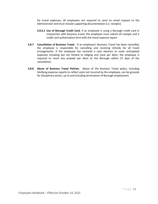for travel expenses, all employees are required to send an email request to the Administrator and must include supporting documentation (i.e. receipts).

- **4.8.6.1 Use of Borough Credit Card.** If an employee is using a Borough credit card in conjunction with business travel, the employee must submit all receipts and a credit card authorization form with the travel expense report.
- **4.8.7 Cancellation of Business Travel.** If an employee's Business Travel has been cancelled, the employee is responsible for cancelling and receiving refunds for all travel arrangements. If the employee has received a cash advance to cover anticipated expenses including but not limited to lodging and meal per diem, the employee is required to remit any prepaid per diem to the Borough within 15 days of the cancellation.
- **4.8.8 Abuse of Business Travel Policies.** Abuse of the Business Travel policy, including falsifying expense reports to reflect costs not incurred by the employee, can be grounds for disciplinary action, up to and including termination of Borough employment.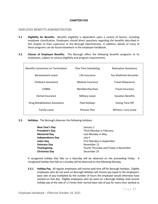# **CHAPTER FIVE**

# EMPLOYEE BENEFITS ADMINISTRATION

- **5.1 Eligibility for Benefits.** Benefits eligibility is dependent upon a variety of factors, including employee classification. Employees should direct questions regarding the benefits described in this chapter to their supervisor or the Borough Administrator. In addition, details of many of these programs can be found elsewhere in the employee handbook.
- **5.2 Classes of Employee Benefits.** The Borough offers the following benefits programs to its employees, subject to various eligibility and program requirements.

| <b>Benefits Conversion on Termination</b> | Flex-Time Scheduling     | <b>Relocation Assistance</b>   |
|-------------------------------------------|--------------------------|--------------------------------|
| Bereavement Leave                         | Life Insurance           | <b>Tax-Sheltered Annuities</b> |
| Childcare Assistance                      | <b>Medical Insurance</b> | <b>Travel Allowances</b>       |
| <b>COBRA</b>                              | <b>Membership Dues</b>   | <b>Travel Insurance</b>        |
| Dental Insurance                          | <b>Military Leave</b>    | <b>Vacation Benefits</b>       |
| Drug Rehabilitation Assistance            | Paid Holidays            | <b>Voting Time Off</b>         |
| <b>Family Leave</b>                       | Pension Plan             | Witness / Jury Leave           |
|                                           |                          |                                |

#### **5.3 Holidays.** The Borough observes the following holidays:

| New Year's Day          | January 1                              |
|-------------------------|----------------------------------------|
| <b>President's Day</b>  | Third Monday in February               |
| <b>Memorial Day</b>     | Last Monday in May                     |
| <b>Independence Day</b> | July 4                                 |
| <b>Labor Day</b>        | First Monday in September              |
| <b>Veterans Day</b>     | November 11                            |
| <b>Thanksgiving</b>     | Fourth Thursday and Friday in November |
| <b>Christmas Day</b>    | December 25                            |

A recognized holiday that falls on a Saturday will be observed on the proceeding Friday. A recognized holiday that falls on a Sunday will be observed on the following Monday.

**5.3.1 Holiday Pay.** All regular employees will receive paid time off for Borough Holidays. Eligible employees who do not work on Borough Holidays will receive pay equal to the employee's base rate of pay multiplied by the number of hours the employee would otherwise have worked on that day. Eligible employees who do work on a Borough Holiday shall receive holiday pay at the rate of 1.5 times their normal base rate of pay for every hour worked so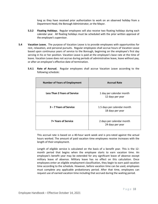long as they have received prior authorization to work on an observed holiday from a Department Head, the Borough Administrator, or the Mayor.

- **5.3.2 Floating Holidays.** Regular employees will also receive two floating holidays during each calendar year. All floating holidays must be scheduled with the prior written approval of the employee's supervisor.
- **5.4 Vacation Leave.** The purpose of Vacation Leave is to provide employees with opportunities for rest, relaxation, and personal pursuits. Regular employees shall accrue hours of Vacation Leave based upon continuous years of service to the Borough, beginning on the employee's first day serving in his or her position. Vacation Leave is paid at the employee's base rate at the time of leave. Vacation Leave does not accrue during periods of administrative leave, leave without pay, or after an employee's effective date of termination.
	- **5.4.1 Rate of Accrual.** Regular employees shall accrue Vacation Leave according to the following schedule:

| <b>Number of Years of Employment</b> | <b>Accrual Rate</b>                             |
|--------------------------------------|-------------------------------------------------|
| <b>Less Than 3 Years of Service</b>  | 1 day per calendar month<br>12 days per year    |
| 3 – 7 Years of Service               | 1.5 days per calendar month<br>18 days per year |
| 7+ Years of Service                  | 2 days per calendar month<br>24 days per year   |

This accrual rate is based on a 40-hour work week and is pro-rated against the actual hours worked. The amount of paid vacation time employees receive increases with the length of their employment.

Length of eligible service is calculated on the basis of a benefit year. This is the 12 month period that begins when the employee starts to earn vacation time. An employee's benefit year may be extended for any significant leave of absence except military leave of absence. Military leave has no effect on this calculation. Once employees enter an eligible employment classification, they begin to earn paid vacation time according to the schedule. However, before vacation time can be used, employees must complete any applicable probationary period. After that time, employees can request use of earned vacation time including that accrued during the waiting period.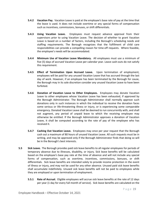- **5.4.2 Vacation Pay.** Vacation Leave is paid at the employee's base rate of pay at the time that the leave is used. It does not include overtime or any special forms of compensation such as incentives, commissions, bonuses, or shift differentials.
- **5.4.3 Using Vacation Leave.** Employees must request advance approval from their supervisors prior to using Vacation Leave. The decision of whether to grant Vacation Leave is based on a number of factors, including the Borough's scheduling needs and staffing requirements. The Borough recognizes that the fulfillment of child care responsibilities can provide a compelling reason for time-off requests. Where feasible, the employee's needs will be accommodated.
- **5.4.4 Minimum Use of Vacation Leave Mandatory.** All employees must use a minimum of five (5) days of accrued Vacation Leave per calendar year. Leave cash-outs do not satisfy this requirement.
- **5.4.5 Effect of Termination Upon Accrued Leave.** Upon termination of employment, employees will be paid for any unused Vacation Leave that has accrued through the last day of work. However, if an employee has been terminated by the Borough for cause, the Borough may in its sole discretion consider any unused Vacation Leave to have been forfeited.
- **5.4.6 Donation of Vacation Leave to Other Employees.** Employees may donate Vacation Leave to other employees whose Vacation Leave has been exhausted, if approved by the Borough Administrator. The Borough Administrator shall normally approve such donations only in such instances in which the individual to receive the donation faces some serious or life-threatening illness or injury, or is experiencing some comparable emergency. Donated Vacation Leave shall be deemed to run concurrently with, and shall not augment, any period of unpaid leave to which the receiving employee may otherwise be entitled. If the Borough Administrator approves a donation of Vacation Leave, it shall be computed according to the rate of pay of the employee who has received it.
- **5.4.7 Cashing Out Vacation Leave.** Employees may once per year request that the Borough cash out a maximum of 80 hours of unused Vacation Leave. All such requests must be in writing, and may be approved only if the Borough Administrator finds that doing so will be in the Borough's best interests.
- **5.5 Sick Leave.** The Borough provides paid sick leave benefits to all regular employees for periods of temporary absence due to illnesses, disability, or injury. Sick leave benefits will be calculated based on the employee's base pay rate at the time of absence and will not include any special forms of compensation, such as overtime, incentives, commissions, bonuses, or shift differentials. Sick leave benefits are intended solely to provide income protection in the event of illness or injury, and may not be used for any other absence. Unused paid sick leave benefits shall accumulate indefinitely. Unused sick leave benefits will not be paid to employees while they are employed or upon termination of employment.
	- **5.5.1 Rate of Accrual.** Eligible employees will accrue sick leave benefits at the rate of 12 days per year (1 day for every full month of service). Sick leave benefits are calculated on the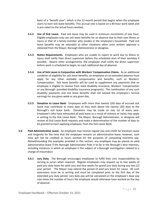basis of a "benefit year", which is the 12-month period that begins when the employee starts to earn sick leave benefits. This accrual rate is based on a 40-hour work week and is pro-rated on the actual hours worked.

- **5.5.2 Use of Sick Leave.** Paid sick leave may be used in minimum increments of one hour. Eligible employees may use sick leave benefits for an absence due to their own illness or injury or that of a family member who resides in the employee's household. Paid sick leave benefits may be extended to other situations when prior written approval is obtained from the Mayor, Borough Administrator or designee.
- **5.5.3 Notice Requirements.** Employees who are unable to report to work due to illness or injury shall notify their direct supervisor before the scheduled start of their workday if possible. Absent other arrangements, the employee shall notify the direct supervisor before work is scheduled to begin, on each additional day of absence.
- **5.5.4 Use of Sick Leave in Conjunction with Workers' Compensation Claims.** As an additional condition of eligibility for sick leave benefits, an employee on an extended absence must apply for any other available compensation and benefits, such as Workers' Compensation. Sick leave benefits will be used to supplement any payments that an employee is eligible to receive from state disability insurance, Workers' Compensation or any Borough- provided disability insurance program(s). The combination of any such disability payments and sick leave benefits shall not exceed the employee's normal earnings for any given week or any given day.
- **5.5.5 Donation to Leave Bank.** Employees with more than twenty (20) days of accrued sick leave may contribute as many days as they wish above the twenty (20) days to the Borough's sick leave bank. Donations may be made on July 1st of every year. Employee's who have exhausted all paid leave as a result of sickness or injury may apply in writing to the Sick Leave Bank. The Mayor, Borough Administrator, or designee will review all Sick Leave Bank requests and make a determination of the number of days to be granted to each applying employee, from the Sick Leave Bank.
- **5.6 Paid Administrative Leave.** An employee may receive regular pay and credit for Vacation Leave and longevity for the time that the employee remains on administrative leave; however, such time will not be credited as hours worked for the purposes of computing overtime pay. Notwithstanding the examples provided in this section, any employee may be placed on paid administrative leave if the Borough Administrator finds it to be in the Borough's best interests, including instances in which an employee is the subject of a Borough investigation related to a charge of misconduct.
	- **5.6.1 Jury Duty.** The Borough encourages employees to fulfill their civic responsibilities by serving as jurors when required. Regular employees may request up to two weeks of paid jury duty leave for petit jury and four weeks for grand jury duty during any two (2) year period. The Mayor may extend the period of paid jury leave for cause. All such extensions must be in writing and must be completed prior to the first day of the extended jury duty period. Jury duty pay will be calculated on the employee's base pay rate times the number of hours the employee would otherwise have worked on the day of absence.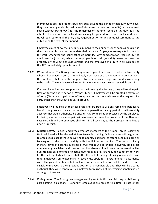If employees are required to serve jury duty beyond the period of paid jury duty leave, they may use any available paid time off (for example, vacation benefits) or may request Leave Without Pay (LWOP) for the remainder of the time spent on jury duty. It is the intent of this section that such extensions may be granted for reasons such as extended travel required to fulfill the jury duty requirement or for an additional summons to jury duty during the two (2) year period.

Employees must show the jury duty summons to their supervisor as soon as possible so that the supervisor can accommodate their absence. Employees are expected to report for work whenever the court schedule permits. Any compensation received by the employee for jury duty while the employee is on paid jury duty leave becomes the property of the Aleutians East Borough and the employee shall turn in all such pay to the AEB immediately upon its receipt.

**5.6.2 Witness Leave.** The Borough encourages employees to appear in court for witness duty when subpoenaed to do so. Immediately upon receipt of a subpoena to be a witness, the employee shall show the subpoena to the employee's supervisor and allow a copy to be made. The employee shall report for work whenever the court schedule permits.

If an employee has been subpoenaed as a witness by the Borough, they will receive paid time off for the entire period of Witness Leave. Employees will be granted a maximum of forty (40) hours of paid time off to appear in court as a witness at the request of a party other than the Aleutians East Borough.

Employees will be paid at their base rate and are free to use any remaining paid leave benefits (e.g. vacation leave) to receive compensation for any period of witness duty absence that would otherwise be unpaid. Any compensation received by the employee for being a witness while on paid witness leave becomes the property of the Aleutians East Borough and the employee shall turn in all such pay to the Borough immediately upon its receipt.

- **5.6.3 Military Leave.** Regular employees who are members of the Armed Forces Reserve or National Guard will be allowed Military Leave for training. Military Leave will be granted to employees, except those occupying temporary positions, to attend scheduled drills or training or if called to active duty with the U.S. armed services. The portion of any military leaves of absence in excess of two weeks will be unpaid; however, employees may use any available paid time off for the absence. Employees on two-week active duty training assignments or inactive duty training drills are required to return to work for the first regularly scheduled shift after the end of training, allowing reasonable travel time. Employees on longer military leave must apply for reinstatement in accordance with all applicable state and federal laws. Every reasonable effort will be made to return eligible employees to their previous position or a comparable one. They will be treated as though they were continuously employed for purposes of determining benefits based on length of service.
- **5.6.4 Voting Leave.** The Borough encourages employees to fulfill their civic responsibilities by participating in elections. Generally, employees are able to find time to vote either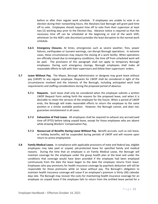before or after their regular work schedule. If employees are unable to vote in an election during their nonworking hours, the Aleutians East Borough will grant paid time off to vote. Employees should request time off to vote from their supervisor at least two (2) working days prior to the Election Day. Advance notice is required so that the necessary time off can be scheduled at the beginning or end of the work shift, whichever (in the AEB's sole discretion) provides the least disruption to the normal work schedule.

- **5.6.5 Emergency Closures.** At times, emergencies such as severe weather, fires, power failures, earthquakes or tsunami warnings, can disrupt Borough operations. In extreme cases, these circumstances may require the closing of a work facility. When operations are officially closed due to emergency conditions, the time off from scheduled work will be paid. The provisions of this paragraph shall not apply to temporary Borough employees. During such emergency closings, Borough employees shall make all reasonable efforts to talk with their supervisors and follow their supervisors' orders.
- **5.7 Leave Without Pay.** The Mayor, Borough Administrator or designee may grant leave without pay (LWOP) to any regular employee. Requests for LWOP shall be considered in light of the circumstances involved and the interests of the Borough, including anticipated work load requirements and staffing considerations during the proposed period of absence.
	- **5.7.1 Requests.** Such leave shall only be considered when the employee submits a written LWOP Request Form setting forth the reasons for the proposed leave, and when it is desirable to retain the services of the employee for the future. When a period of LWOP ends, the Borough will make reasonable efforts to return the employee to the same position or a similar available position. However, the Borough cannot, and does not, guarantee reinstatement in all cases.
	- **5.7.2 Exhaustion of Paid Leave.** All employees shall be required to exhaust any accrued paid time off (PTO) before taking unpaid leave, except for those employees who are absent while drawing Workers' Compensation Pay.
	- **5.7.3 Nonaccrual of Benefits During Leave Without Pay.** Benefit accruals, such as sick leave, or holiday benefits, will be suspended during periods of LWOP and will resume upon return to active employment.
- **5.8 Family Medical Leave.** In compliance with applicable provisions of state and federal law, eligible employees may take paid or unpaid, job-protected leave for specified family and medical reasons. During the time that an employee is on Family Medical Leave, the Borough will maintain coverage for the employee under the group health plan at the level and under the conditions that coverage would have been provided if the employee had been employed continuously from the date the leave began to the date the employee returns from leave. Employees who pay premiums for health insurance coverage by paycheck deduction will still be responsible for those premiums while on leave without pay. The Borough's obligation to maintain health insurance coverage will cease if an employee's premium is thirty (30) calendar days late. The Borough may recover the costs for maintaining health insurance coverage for an employee on unpaid leave if the employee fails to return from the entitled leave period for a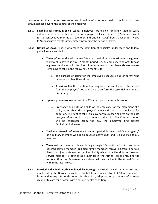reason other than the recurrence or continuation of a serious health condition or other circumstances beyond the control of the employee.

- **5.8.1 Eligibility for Family Medical Leave.** Employees are eligible for Family Medical Leave authorized purposes if they have been employed at least thirty-five (35) hours a week for six consecutive months or seventeen and one-half (17.5) hours a week for twelve (12) consecutive months immediately preceding the period of leave.
- **5.8.2 Nature of Leave.** Those who meet the definition of "eligible" under state and federal guidelines are entitled to:
	- Twenty-four workweeks in any 24-month period with a maximum of eighteen workweeks allowed in any 12-month period (i.e. an employee who opts to take eighteen workweeks in the first 12 months would then have six workweeks remaining to take in the following 12-months) for:
		- o The purpose of caring for the employee's spouse, child, or parent who has a serious health condition;
		- o A serious health condition that requires the employee to be absent from the employee's job or unable to perform the essential functions of his or her job;
	- Up to eighteen workweeks within a 12-month period may be taken for:
		- $\circ$  Pregnancy and birth of a child of the employee, or the placement of a child, other than the employee's stepchild, with the employee for adoption. The right to take this leave for this reason expires on the date one year after the birth or placement of the child. The 12-month period will be calculated from the day the employee first utilizes family/medical leave.
	- Twelve workweeks of leave in a 12-month period for any "qualifying exigency" of a military member who is on covered active duty and is a qualified family member.
	- Twenty-six workweeks of leave during a single 12-month period to care for a covered service member (qualified family member) recovering from a serious illness or injury sustained in the line of duty while on active duty. A "covered service member" is defined as a member in the Armed Forces (including the National Guard or Reserves) or a veteran who was active in the Armed Forces within the last five years.
- **5.8.3 Married Individuals Both Employed by Borough.** Married individuals who are both employed by the Borough may be restricted to a combined total of 18 workweeks of leave within any 12-month period for childbirth, adoption, or placement of a foster child; or to care for a parent with a serious health condition.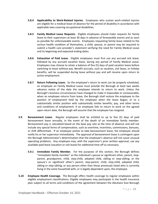- **5.8.4 Applicability to Work-Related Injuries.** Employees who sustain work-related injuries are eligible for a medical leave of absence for the period of disability in accordance with applicable laws covering occupational disabilities.
- **5.8.5 Family Medical Leave Requests.** Eligible employees should make requests for family leave to their supervisors at least 30 days in advance of foreseeable events and as soon as possible for unforeseeable events. Employees requesting family leave related to the serious health condition of themselves, a child, spouse, or parent may be required to submit a health care provider's statement verifying the need for Family Medical Leave and its beginning and expected ending dates.
- **5.8.6 Exhaustion of Paid Leave.** Eligible employees must first use any accrued sick leave, followed by any accrued vacation leave, during any period of Family Medical Leave. Employees may choose to retain a balance of five (5) days of paid vacation leave before switching to leave without pay. Benefit accruals, such as vacation, sick leave, or holiday benefits, will be suspended during leave without pay and will resume upon return to active employment.
- **5.8.7 Return Following Leave.** So the employee's return to work can be properly scheduled, an employee on Family Medical Leave must provide the Borough at least two weeks advance notice of the date the employee intends to return to work. Unless the Borough's business circumstances have changed to make it impossible or unreasonable, when an employee returns from leave, the Borough shall restore the employee to the position of employment held by the employee when the leave began; or to a substantially similar position with substantially similar benefits, pay, and other terms and conditions of employment. If an employee fails to return to work on the agreed upon return date, the Borough will assume that the employee has resigned.
- **5.9 Bereavement Leave.** Regular employees shall be entitled to up to five (5) days of paid bereavement leave annually, in the event of the death of an immediate family member. Bereavement pay is calculated based on the base pay rate at the time of absence and will not include any special forms of compensation, such as overtime, incentives, commissions, bonuses, or shift differentials. If an employee wishes to take bereavement leave, the employee should notify his or her supervisor immediately. The approval of bereavement leave is contingent upon the Borough Administrator's determination that the employee's absence will not cause unusual operating problems. Any employee may, with the supervisor's prior written approval, use any available paid leave (vacation or sick leave) for additional time off as necessary.
	- **5.9.1 Immediate Family Member.** For the purposes of this section, the Borough defines "immediate family member" as the individual's spouse or significant other, parent, stepparent, grandparent, child, step-child, adopted child, sibling or step-sibling; or the spouse's or significant other's parent, step-parent, child, step-child, adopted child, sibling or step-sibling; or any person other than those previously listed who is currently living in the same household with, or is legally dependent upon, the employee.
- **5.10 Employee Health Coverage.** The Borough offers health coverage to regular employees within eligible employment classifications. Eligible employees may participate in the health insurance plan subject to all terms and conditions of the agreement between the Aleutians East Borough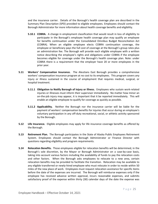and the insurance carrier. Details of the Borough's health coverage plan are described in the Summary Plan Description (SPD) provided to eligible employees. Employees should contact the Borough Administrator for more information about health coverage benefits and eligibility.

- **5.10.1 COBRA.** A change in employment classification that would result in loss of eligibility to participate in the Borough's employee health coverage plan may qualify an employee for benefits continuation under the Consolidated Omnibus Budget Reconciliation Act (COBRA). When an eligible employee elects COBRA continuation coverage, the employee or beneficiary pays the full cost of coverage at the Borough's group rates plus an administration fee. The Borough will provide each eligible employee with a written notice describing the employee's rights and obligations under COBRA if the employee becomes eligible for coverage under the Borough's health coverage plan. Note: under COBRA there is a requirement that the employer have 20 or more employees in the prior year.
- **5.11 Workers' Compensation Insurance.** The Aleutians East Borough provides a comprehensive workers' compensation insurance program at no cost to its employees. This program covers any injury or illness sustained in the course of employment that requires medical, surgical, or hospital treatment.
	- **5.11.1 Obligation to Notify Borough of Injury or Illness.** Employees who sustain work-related injuries or illnesses must inform their supervisor immediately. No matter how minor an on-the-job injury may appear, it is important that it be reported immediately. This will enable an eligible employee to qualify for coverage as quickly as possible.
	- **5.11.2 Applicability.** Neither the Borough nor the insurance carrier will be liable for the payment of workers' compensation benefits for injuries that occur during an employee's voluntary participation in any off-duty recreational, social, or athletic activity sponsored by the Borough.
- **5.12 Life Insurance.** Eligible employees may apply for life insurance coverage benefits as offered by the Borough.
- **5.13 Retirement Plan.** The Borough participates in the State of Alaska Public Employees Retirement System. Employees should contact the Borough Administrator or Finance Director with questions regarding eligibility and program requirements.
- **5.14 Relocation Benefits.** Those employees eligible for relocation benefits will be determined, in the Borough's sole discretion, by the Mayor or Borough Administrator on a case-by-case basis, taking into account various factors including the availability of funds to pay the relocation costs and other factors. When the Borough asks employees to relocate to a new area, certain relocation benefits may be provided to facilitate the transition. Relocation may be available to any eligible transferred or newly-hired employee who must relocate in order to reside within 50 miles of the new place of work. Employees must request relocation assistance for specific items before the date of the expenses are incurred. The Borough will reimburse expenses only if the employee has received advance written approval, incurs reasonable expenses, and submits satisfactory proof of the expense within thirty (30) calendar days of the date the expense was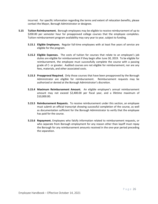incurred. For specific information regarding the terms and extent of relocation benefits, please contact the Mayor, Borough Administrator or designee.

- **5.15 Tuition Reimbursement.** Borough employees may be eligible to receive reimbursement of up to \$200.00 per semester hour for preapproved college courses that the employee completes. Tuition reimbursement program availability may vary year to year, subject to funding.
	- **5.15.1 Eligible Employees.** Regular full-time employees with at least five years of service are eligible for the program.
	- **5.15.2 Eligible Expenses.** The costs of tuition for courses that relate to an employee's job duties are eligible for reimbursement if they begin after June 30, 2019. To be eligible for reimbursement, the employee must successfully complete the course with a passing grade of C- or greater. Audited courses are not eligible for reimbursement, nor are any fees, materials, and other associated costs.
	- **5.15.3 Preapproval Required.** Only those courses that have been preapproved by the Borough Administrator are eligible for reimbursement. Reimbursement requests may be authorized or denied at the Borough Administrator's discretion.
	- **5.15.4 Maximum Reimbursement Amount.** An eligible employee's annual reimbursement amount may not exceed \$2,400.00 per fiscal year, and a lifetime maximum of \$10,000.00.
	- **5.15.5 Reimbursement Requests.** To receive reimbursement under this section, an employee must submit an official transcript showing successful completion of the course, as well as documentation sufficient for the Borough Administrator to verify that the employee has paid for the course.
	- **5.15.6 Repayment.** Employees who falsify information related to reimbursement requests, or who separate from Borough employment for any reason other than layoff must repay the Borough for any reimbursement amounts received in the one-year period preceding the separation.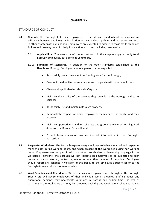# **CHAPTER SIX**

# STANDARDS OF CONDUCT

- **6.1 General.** The Borough holds its employees to the utmost standards of professionalism, efficiency, honesty, and integrity. In addition to the standards, policies and procedures set forth in other chapters of this Handbook, employees are expected to adhere to those set forth below. Failure to do so may result in disciplinary action, up to and including termination.
	- **6.1.1 Applicability.** The standards of conduct set forth in this chapter apply not only to all Borough employees, but also to its volunteers.
	- **6.1.2 Summary of Standards.** In addition to the other standards established by this Handbook, Borough Employees are as a general matter expected to:
		- Responsibly use all time spent performing work for the Borough;
		- Carry out the directives of supervisors and cooperate with other employees;
		- Observe all applicable health and safety rules;
		- Maintain the quality of the services they provide to the Borough and to its citizens;
		- Responsibly use and maintain Borough property;
		- Demonstrate respect for other employees, members of the public, and their property;
		- Maintain appropriate standards of dress and grooming while performing work duties on the Borough's behalf; and,
		- Protect from disclosure any confidential information in the Borough's possession.
- **6.2 Respectful Workplace.** The Borough expects every employee to behave in a civil and respectful manner both during working hours, and when present at the workplace during non-working hours. Employees are not permitted to shout or use abusive or demeaning language in the workplace. Similarly, the Borough will not tolerate its employees to be subjected to such behavior by any customer, contractor, vendor, or any other member of the public. Employees should report any conduct in violation of this policy to the employee's supervisor or to the Borough Administrator as soon as possible.
- **6.3 Work Schedules and Attendance.** Work schedules for employees vary throughout the Borough. Supervisors will advise employees of their individual work schedules. Staffing needs and operational demands may necessitate variations in starting and ending times, as well as variations in the total hours that may be scheduled each day and week. Work schedules may be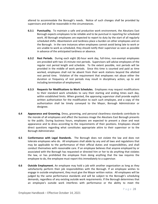altered to accommodate the Borough's needs. Notice of such changes shall be provided by supervisors and shall be reasonable in the circumstances.

- **6.3.1 Punctuality.** To maintain a safe and productive work environment, the Aleutians East Borough expects employees to be reliable and to be punctual in reporting for scheduled work. All Borough employees are expected to report to duty by the start of all regularly scheduled shifts. Absenteeism and tardiness place a burden on other employees and on the Borough. In the rare instances when employees cannot avoid being late to work or are unable to work as scheduled, they should notify their supervisor as soon as possible in advance of the anticipated tardiness or absence.
- **6.3.2 Rest Periods.** During each eight (8)-hour work day, full-time, non-exempt employees are provided with two 15-minute rest periods. Supervisors will advise employees of the regular rest period length and schedule. To the extent possible, rest periods will be provided in the middle of work periods. Since this time is counted and paid as time worked, employees shall not be absent from their work stations beyond the allotted rest period time. Violation of the requirement that employees not abuse either the duration or frequency of rest periods may result in disciplinary action, up to and including termination of employment.
- **6.3.3 Requests for Modifications to Work Schedules.** Employees may request modifications to their standard work schedules to vary their starting and ending times each day, within established limits. When granted, the approving supervisor shall provide explicit written authorization for the modification to each such employee, and a copy of the authorization shall be timely conveyed to the Mayor, Borough Administrator or designee.
- **6.4 Appearance and Grooming.** Dress, grooming, and personal cleanliness standards contribute to the morale of all employees and affect the business image the Aleutians East Borough presents to the public. During business hours, employees are expected to present a clean and neat appearance and to dress according to the requirements of their positions. Employees should direct questions regarding what constitutes appropriate attire to their supervisor or to the Borough Administrator.
- **6.5 Conformance with Legal Standards.** The Borough does not violate the law and does not tolerate employees who do. All employees shall abide by any and all laws and regulations that may be applicable to the performance of their official duties and responsibilities, and shall conduct themselves with reasonable care. If an employee believes that anyone employed by or associated with the Borough has requested or directed him or her to do anything that violates the law, or has prohibited the employee from doing anything that the law requires the employee to do, the employee must report this immediately to a supervisor.
- **6.6 Outside Employment.** An employee may hold a job with another organization as long as they satisfactorily perform their job responsibilities with the Borough. If an employee wishes to engage in outside employment, they must give the Mayor written notice. All employees will be judged by the same performance standards and will be subject to the Borough's scheduling demands, regardless of any existing outside work requirements. If the Borough determines that an employee's outside work interferes with performance or the ability to meet the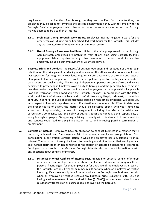requirements of the Aleutians East Borough as they are modified from time to time, the employee may be asked to terminate the outside employment if they wish to remain with the Borough. Outside employment which has an actual or potential adverse impact the Borough may be deemed to be a conflict of interest.

- **6.6.1 Prohibited During Borough Work Hours.** Employees may not engage in work for any other employer during his or her scheduled work hours for the Borough. This includes any work related to self-employment or volunteer service.
- **6.6.2 Use of Borough Resources Prohibited.** Unless otherwise preapproved by the Borough Administrator, employees are prohibited from at any time using Borough facilities, equipment, labor, supplies, or any other resources to perform work for another employer, including self-employment or volunteer service.
- **6.7 Business Ethics and Conduct.** The successful business operation and reputation of the Borough is built upon the principles of fair dealing and relies upon the ethical conduct of our employees. Our reputation for integrity and excellence requires careful observance of the spirit and letter of all applicable laws and regulations, as well as a scrupulous regard for the highest standards of conduct and personal integrity. The Borough is dependent upon our customers' trust and we are dedicated to preserving it. Employees owe a duty to Borough, and the general public, to act in a way that merits the public's trust and confidence. All employees must comply with all applicable laws and regulations when conducting the Borough's business in accordance with the letter, spirit, and intent of all relevant laws and to refrain from any illegal, dishonest, or unethical conduct. In general, the use of good judgment, based on high ethical principles, will guide you with respect to lines of acceptable conduct. If a situation arises where it is difficult to determine the proper course of action, the matter should be discussed openly with your immediate supervisor [if appropriate], or any of management including the Mayor for advice and consultation. Compliance with this policy of business ethics and conduct is the responsibility of every Borough employee. Disregarding or failing to comply with this standard of business ethics and conduct could lead to disciplinary action, up to and including possible termination of employment.
- **6.8 Conflicts of Interest.** Employees have an obligation to conduct business in a manner that is impartial, unbiased, and fundamentally fair. Consequently, employees are prohibited from participating in any official Borough action in which the employee has a substantial financial interest. The purpose of these guidelines is to provide general direction so that employees can seek further clarification on issues related to the subject of acceptable standards of operation. Employees should contact the Mayor or Borough Administrator for more information or with any questions about conflicts of interest.
	- **6.8.1 Instances in Which Conflicts of Interest Exist.** An actual or potential conflict of interest occurs when an employee is in a position to influence a decision that may result in a personal financial gain for that employee or for a relative of the employee as a result of the Borough's actions. Personal gain may result not only when an employee or relative has a significant ownership in a firm with which the Borough does business, but also when an employee or relative receives any kickback, bribe, substantial gift, [i.e., one having a value in excess of one hundred dollars (\$100.00)], or special consideration as a result of any transaction or business dealings involving the Borough.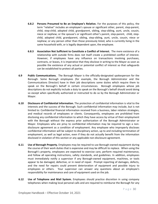- **6.8.2 Persons Presumed to Be an Employee's Relative.** For the purposes of this policy, the term "relative" includes an employee's spouse or significant other, parent, step-parent, child, step-child, adopted child, grandparent, sibling, step-sibling, aunt, uncle, cousin, niece or nephew; or the spouse's or significant other's parent, step-parent, child, stepchild, adopted child, grandparent, sibling, step-sibling, aunt, uncle, cousin, niece or nephew; or any person other than those previously listed, who is currently living in the same household with, or is legally dependent upon, the employee.
- **6.8.3 Association Not Sufficient to Constitute a Conflict of Interest.** The mere existence of a relationship with outside firms does not itself create a prohibited conflict of interest. However, if employees have any influence on transactions involving purchases, contracts, or leases, it is imperative that they disclose in writing to the Mayor as soon as possible the existence of any actual or potential conflict of interest so that safeguards can be established to protect all parties.
- **6.9 Public Communications.** The Borough Mayor is the officially-designated spokesperson for the Borough. Some Borough employees (for example, the Borough Administrator and the Communications Director) have in their job descriptions some duties which require them to speak on the Borough's behalf in certain circumstances. Borough employees whose job descriptions do not explicitly include a duty to speak on the Borough's behalf should avoid doing so except when specifically authorized or instructed to do so by the Borough Administrator or Mayor.
- **6.10 Disclosure of Confidential Information.** The protection of confidential information is vital to the interests and the success of the Borough. Such confidential information may include, but is not limited to: Confidential financial information received from a business, labor relation strategies, and medical records of employees or clients. Consequently, employees are prohibited from disclosing any confidential information to which they have access by virtue of their employment with the Borough without the express prior authorization of the Borough Administrator or Mayor. Employees who are privy to confidential information may be required to sign a nondisclosure agreement as a condition of employment. Any employee who improperly discloses confidential information will be subject to disciplinary action, up to and including termination of employment, as well as legal action, even if they do not actually benefit from the information disclosed in violation of this section or any applicable non-disclosure agreement.
- **6.11 Use of Borough Property.** Employees may be required to use Borough-owned equipment during the course of their work duties that is expensive and may be difficult to replace. When using the Borough's property, employees are expected to exercise care, perform required maintenance, and follow all operating instructions, safety standards, and guidelines. In addition, employees must immediately notify a supervisor if any Borough-owned equipment, machines, or tools appear to be damaged, defective, or in need of repair. Prompt reporting of damages, defects, and the need for repairs could prevent deterioration of equipment and possible injury to employees or others. Your supervisor can answer any questions about an employee's responsibility for maintenance and care of equipment used on the job.
- **6.12 Use of Telephone and Mail System.** Employees should practice discretion in using company telephones when making local personal calls and are required to reimburse the Borough for any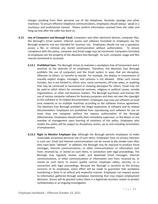charges resulting from their personal use of the telephone, facsimile, postage and other machines. To ensure effective telephone communications, employees should always speak in a courteous and professional manner. Please confirm information received from the caller and hang up only after the caller has done so.

- **6.13 Use of Computers and Borough Email.** Computers and other electronic devices, computer files, the Borough's Email system, Internet access and software furnished to employees are the Borough property and are intended for business use. Employees should not use a password, access a file, or retrieve any stored communication without authorization. To ensure compliance with this policy, computer and Email usage may be monitored. Computers furnished to employees are the property of the Aleutians East Borough. As such, computer usage and files may be monitored or accessed.
	- **6.13.1 Prohibited Uses.** The Borough strives to maintain a workplace free of harassment and is sensitive to the diversity of its employees. Therefore, the Aleutians East Borough prohibits the use of computers and the Email system in ways that are disruptive, offensive to others, or harmful to morale. For example, the display or transmission of sexually explicit images, messages, and cartoons is not allowed. Other such misuse includes, but is not limited to, ethnic slurs, racial comments, off-color jokes, or anything that may be construed as harassment or showing disrespect for others. Email may not be used to solicit others for commercial ventures, religious or political causes, outside organizations, or other non-business matters. The Borough purchases and licenses the use of various computer software for business purposes and does not own the copyright to this software or its related documentation. Employees may only use software on local area networks or on multiple machines according to the software license agreement. The Aleutians East Borough prohibits the illegal duplication of software and its related documentation. Employees are prohibited from reproducing such software for use on more than one computer without the express authorization of the Borough Administrator. Employees should notify their immediate supervisor, or the Mayor or any member of management upon learning of violations of this policy. Employees who violate this policy will be subject to disciplinary action, up to and including termination of employment.
	- **6.13.2 Right to Monitor Employee Use.** Although the Borough permits employees to make reasonable occasional personal use of such items, Employees have no privacy interests in such use. Email and Internet communications can be traced to the sender even after they have been "deleted". In addition, the Borough may be required to produce Email messages, Internet communications, or other communications or information sent from, received by, or stored on such items, in connection with legal proceedings. The Borough may regularly review, audit, and download Email messages, Internet communications, or other communications or information sent from, received by, or stored on such items to ensure quality control, employee safety, security, or in connection with legal proceedings. Because the Borough is sensitive to the privacy concerns of its employees, every effort will be made to guarantee that workplace monitoring is done in an ethical and respectful manner. Employees can request access to information gathered through workplace monitoring that may impact employment decisions. Access will be granted unless there is a legitimate business reason to protect confidentiality or an ongoing investigation.

Page 31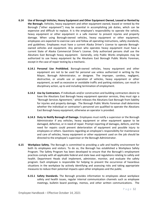- **6.14 Use of Borough Vehicles, Heavy Equipment and Other Equipment Owned, Leased or Rented by the Borough.** Vehicles, heavy equipment and other equipment owned, leased or rented by the Borough ("other equipment") may be essential in accomplishing job duties, which can be expensive and difficult to replace. It is the employee's responsibility to operate the vehicle, heavy equipment or other equipment in a safe manner to prevent injuries and property damage. When using Borough-owned vehicles, heavy equipment or other equipment, employees are expected to exercise care and follow all operating instructions, safety standards, and guidelines. Employees must have a current Alaska Driver's License to operate Boroughowned vehicles and equipment. Any person who operates heavy equipment must have a current State of Alaska Commercial Driver's License. Only authorized persons shall use the Aleutians East Borough heavy equipment. Generally, only Public Works employees may be authorized to use heavy equipment by the Aleutians East Borough Public Works Foreman, except in the case of repair testing by a mechanic.
	- **6.14.1 Personal Use Prohibited.** Borough-owned vehicles, heavy equipment and other equipment are not to be used for personal use unless authorized in writing by the Mayor, Borough Administrator, or designee. The improper, careless, negligent, destructive, or unsafe use or operation of vehicles, heavy equipment or other equipment, as well as excessive or avoidable traffic and parking violations, can result in disciplinary action, up to and including termination of employment.
	- **6.14.2 Use by Contractors.** If individuals and/or construction and building contractors desire to have the Aleutians East Borough heavy equipment operator services, they must sign a "Borough Services Agreement," which releases the Aleutians East Borough from liability for injuries and property damage. The Borough Public Works Foreman shall determine whether the individual or contractor's personnel are qualified to operate the Aleutians East Borough heavy equipment, otherwise an operator is provided.
	- **6.14.3 Duty to Notify Borough of Damage.** Employees must notify a supervisor or the Borough Administrator if any vehicles, heavy equipment or other equipment appear to be damaged, defective, or in need of repair. Prompt reporting of damages, defects, and the need for repairs could prevent deterioration of equipment and possible injury to employees or others. Questions regarding an employee's responsibility for maintenance and care of vehicles, heavy equipment or other equipment used on the job should be directed to the employee's supervisor or the Borough Administrator.
- **6.15 Workplace Safety.** The Borough is committed to providing a safe and healthy environment for both its employees and visitors. To do so, the Borough has established a Workplace Safety Program. The Safety Program has been developed to ensure that the Borough's employment practices comply with all applicable federal and state laws and regulations relating to safety and health. Department Heads shall implement, administer, monitor, and evaluate the safety program. Each employee is responsible for helping to prevent the occurrence of hazardous situations in the workplace by actively identifying and assessing risks and taking appropriate measures to reduce their potential impacts upon other employees and the public.
	- **6.15.1 Safety Standards.** The Borough provides information to employees about workplace safety and health issues, regular internal communication channels such as employee meetings, bulletin board postings, memos, and other written communications. The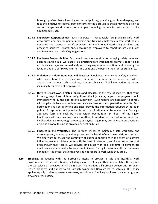Borough prefers that all employees be self-policing, practice good housekeeping, and take the initiative to report safety concerns to the Borough so that it may take action to correct dangerous situations (for example, removing barriers to quick access to fire extinguishers), etc.

- **6.15.2 Supervisor Responsibilities.** Each supervisor is responsible for: providing safe work procedures and environments; informing and training employees in safe work habits; detecting and correcting unsafe practices and conditions; investigating accidents and preparing accident reports; and, encouraging employees to report unsafe conditions and to submit practical safety suggestions.
- **6.15.3 Employee Responsibilities.** Each employee is responsible for: obeying safety rules and exercise caution in all work activities; practicing safe work habits; promptly reporting all accidents and injuries; immediately reporting any unsafe condition; and, knowing the location and use of fire extinguishers fire exits and the best method for reporting fires.
- **6.15.4 Violation of Safety Standards and Practices.** Employees who violate safety standards, who cause hazardous or dangerous situations, or who fail to report or, where appropriate, remedy such situations, may be subject to disciplinary action, up to and including termination of employment.
- **6.15.5 Duty to Report Work-Related Injuries and Illnesses.** In the case of accidents that result in injury, regardless of how insignificant the injury may appear, employees should immediately notify the appropriate supervisor. Such reports are necessary to comply with applicable laws and initiate insurance and workers' compensation benefits. Such notification shall be in writing and shall provide the information required by Borough policy. Except when not practicable, such notification shall be made on a Boroughapproved form and shall be made within twenty-four (24) hours of the injury. Employees who are involved in an on-the-job accident or unusual occurrence that involves damage to Borough property or physical injury may be subject to post-accident drug and alcohol testing as provided by Section 6.17.6.
- **6.15.6 Illnesses in the Workplace.** The Borough wishes to maintain a safe workplace and encourage and/or adopt practices protecting the health of employees, visitors or others. We also want to ensure the continuity of business operations in the event of a severe influenza pandemic. Many times, with the best of intentions, employees report to work even though they feel ill. We provide employees with paid sick time to compensate employees who are unable to work due to illness. During flu season and/or an influenza pandemic, it is critical that employees do not report to work while they are ill.
- **6.16 Smoking.** In keeping with the Borough's intent to provide a safe and healthful work environment, the use of tobacco, including vaporizers (e-cigarettes), is prohibited throughout the workplace as provided in AS 18.35.300. This includes all Borough-owned and Boroughleased property, and applies to all Borough-owned and Borough-leased vehicles. This policy applies equally to all employees, customers, and visitors. Smoking is allowed only at designated smoking areas outside.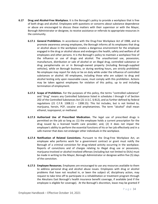- **6.17 Drug and Alcohol-Free Workplace.** It is the Borough's policy to provide a workplace that is free of both drugs and alcohol. Employees with questions or concerns about substance dependence or abuse are encouraged to discuss these matters with their supervisor or with the Mayor, Borough Administrator or designee, to receive assistance or referrals to appropriate resources in the community.
	- **6.17.1 General Prohibition.** In accordance with the Drug-Free Workplace Act of 1988, and to promote awareness among employees, the Borough informs all its employees that drug or alcohol abuse in the workplace creates a dangerous environment for the employee engaged in the drug or alcohol abuse and endangers the health, safety and welfare of all employees and other persons. It is the Borough's policy to maintain a workplace free of the influence or use of drugs and alcohol. The unauthorized use, possession, manufacture, distribution or sale of alcohol or an illegal drug, controlled substance or drug paraphernalia on or in Borough-owned property (including Borough-supplied vehicles), while on Borough business, or during working hours, are strictly prohibited. No employee may report for duty or be on duty while under the influence of controlled substances or alcohol. All employees, including those who are subject to drug and alcohol testing only upon reasonable cause, must comply with this prohibition. Actions may be taken against employees for violation of this policy, up to and including termination of employment.
	- **6.17.2 Scope of Prohibition.** For the purposes of this policy, the terms "controlled substance" and "drug" means any Controlled Substance listed in schedules I through V of Section 202 of the Controlled Substances Act (21 U.S.C. § 812), and as further defined by federal regulations (21 C.F.R. 1308.11 – 1308.15). This list includes, but is not limited to, marijuana, heroin, PCP, cocaine and amphetamines. The term "alcohol" shall mean ethanol, isopropanol, or methanol.
	- **6.17.3 Authorized Use of Prescribed Medication.** The legal use of prescribed drugs is permitted on the job so long as: (1) the employee holds a current prescription for the drug issued by a licensed health care provider; and, (2) it does not impair the employee's ability to perform the essential functions of his or her job effectively and in a safe manner that does not endanger other individuals in the workplace.
	- **6.17.4 Notification of Related Convictions.** Pursuant to the Drug-Free Workplace Act, an employee who performs work for a government contract or grant must notify the Borough of a criminal conviction for drug-related activity occurring in the workplace. Reports of convictions and of charges relating to illegal drug use or possession, marijuana-involved or alcohol-involved offenses (including but not limited to DUIs) must be made in writing to the Mayor, Borough Administrator or designee within five (5) days of the conviction.
	- **6.17.5 Employee Resources.** Employees are encouraged to use any resources available to them to address personal drug and alcohol abuse issues. Employees with drug or alcohol problems that have not resulted in, or been the subject of, disciplinary action, may request to take time off to participate in a rehabilitation or treatment program through the Aleutians East Borough's health insurance benefit coverage, if available (and if the employee is eligible for coverage). At the Borough's discretion, leave may be granted if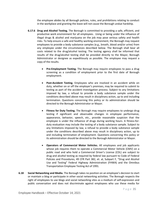the employee abides by all Borough policies, rules, and prohibitions relating to conduct in the workplace and granting the leave will not cause the Borough undue hardship.

- **6.17.6 Drug and Alcohol Testing.** The Borough is committed to providing a safe, efficient, and productive work environment for all employees. Using or being under the influence of illegal drugs & alcohol and marijuana on the job may pose serious safety and health risks. To help ensure a safe and healthy working environment, the Borough may request employees to provide a body substance samples (e.g., breath, blood and/or urine) from any employee under the circumstances described below. The Borough shall bear all costs related to the drug/alcohol testing. The testing agency shall be informed that results of the drug/alcohol testing shall be provided directly to the Mayor, Borough Administrator or designee as expeditiously as possible. The employee may request a copy of the results.
	- **Pre-Employment Testing.** The Borough may require employees to pass a drug screening as a condition of employment prior to the first date of Borough employment.
	- **Post-Accident Testing.** Employees who are involved in an accident while on duty, whether on or off the employer's premises, may be required to submit to testing as part of the accident investigation process. Subject to any limitations imposed by law, a refusal to provide a body substance sample under the conditions described above may result in disciplinary action, up to and including termination. Questions concerning this policy or its administration should be directed to the Borough Administrator or Mayor.
	- **Fitness for Duty Testing.** The Borough may require employees to undergo drug testing if significant and observable changes in employee performance, appearance, behavior, speech, etc., provide reasonable suspicion that the employee is under the influence of drugs during working hours. A fitness-forduty evaluation may include the testing of a body substance sample. Subject to any limitations imposed by law, a refusal to provide a body substance sample under the conditions described above may result in disciplinary action, up to and including termination of employment. Questions concerning this policy or its administration should be directed to the Borough Administrator or Mayor.
	- **Operators of Commercial Motor Vehicles.** All employees and job applicants whose job requires them to operate a Commercial Motor Vehicle (CMV) on a public road and who hold a Commercial Driver's License (CDL) are subject to drug and alcohol testing as required by federal law pursuant to Code of Federal Policies and Procedures, 49 CFR Part 382, et. al, Subpart F, "Drug and Alcohol Use and Testing" Federal Highway Administration (FHWA) and the Omnibus Transportation Employee Testing Act of 1991.
- **6.18 Social Networking and Media.** The Borough takes no position on an employee's decision to start or maintain a blog or participate in other social networking activities. The Borough respects the right of employees to use blogs and social networking sites as a medium of self-expression and public conversation and does not discriminate against employees who use these media for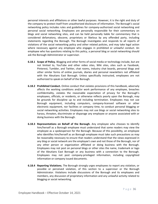personal interests and affiliations or other lawful purposes. However, it is the right and duty of the company to protect itself from unauthorized disclosure of information. The Borough's social networking policy includes rules and guidelines for company-authorized social networking and personal social networking. Employees are personally responsible for their commentary on blogs and social networking sites, and can be held personally liable for commentary that is considered defamatory, obscene, proprietary or libelous by any offended party, including statements regarding the Borough. The Borough investigates and responds to all reports of violations of the social networking policy and other related policies, and may take legal action where necessary against any employee who engages in prohibited or unlawful conduct. An employee who has questions relating to this policy, a personal blog or social networking should ask the Borough Administrator or supervisor.

- **6.18.1 Scope of Policy.** Blogging and other forms of social media or technology include, but are not limited to, YouTube and other video sites, Wiki sites, sites such as Facebook, Pinterest, Tumbler, and Twitter, chat rooms, industry chat boards, personal blogs and other similar forms of online journals, diaries and personal newsletters not affiliated with the Aleutians East Borough. Unless specifically instructed, employees are not authorized to speak on behalf of the Borough.
- **6.18.2 Prohibited Conduct.** Online conduct that violates provisions of this handbook, adversely affects the working conditions and/or work performance of any employee, breaches confidentiality, violates the reasonable expectation of privacy for the Borough's employees, officials, or residents, or otherwise reflects poorly upon the Borough, may be grounds for discipline up to and including termination. Employees may not use Borough equipment, including computers, company-licensed software or other electronic equipment, nor facilities or company time, to conduct personal blogging or social networking activities. Employees may not use blogs or social networking sites to harass, threaten, discriminate or disparage any employee or anyone associated with or doing business with the Borough.
- **6.18.3 Representations on Behalf of the Borough.** Any employee who chooses to identify him/herself as a Borough employee must understand that some readers may view the employee as a spokesperson for the Borough. Because of this possibility, an employee who identifies him/herself as an Borough employee must take such precautions as may be reasonably necessary to ensure that readers understand that the views expressed in any blog or social network are the employee's own and not those of the Borough, nor of any other person or organization affiliated or doing business with the Borough. Employees may not post on personal blogs or other sites the name, trademark or logo of the Aleutians East Borough or any business with a connection to the Borough. Employees may not post company-privileged information, including copyrighted information or company issued documents.
- **6.18.4 Reporting Violations.** The Borough strongly urges employees to report any violation, or possible or perceived violation, of this section to a supervisor or the Borough Administrator. Violations include discussions of the Borough and its employees and members, any discussion of proprietary information and any unlawful activity related to blogging or social networking.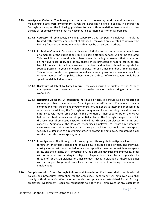- **6.19 Workplace Violence.** The Borough is committed to preventing workplace violence and to maintaining a safe work environment. Given the increasing violence in society in general, the Borough has adopted the following guidelines to deal with intimidation, harassment, or other threats of (or actual) violence that may occur during business hours or on its premises.
	- **6.19.1 Courtesy.** All employees, including supervisors and temporary employees, should be treated with courtesy and respect at all times. Employees are expected to refrain from fighting, "horseplay," or other conduct that may be dangerous to others.
	- **6.19.2 Prohibited Conduct.** Conduct that threatens, intimidates, or coerces another employee, or a member of the public at any time, including off-duty periods, will not be tolerated. This prohibition includes all acts of harassment, including harassment that is based on an individual's sex, race, age, or any characteristic protected by federal, state, or local law. All threats of (or actual) violence, both direct and indirect, should be reported as soon as possible to your immediate supervisor or any other member of management. This includes threats by employees, as well as threats by customers, vendors, solicitors, or other members of the public. When reporting a threat of violence, you should be as specific and detailed as possible.
	- **6.19.3 Disclosure of Intent to Carry Firearm.** Employees must first disclose to the Borough management their intent to carry a concealed weapon before bringing it into the workplace.
	- **6.19.4 Reporting Violations.** All suspicious individuals or activities should also be reported as soon as possible to a supervisor. Do not place yourself in peril. If you see or hear a commotion or disturbance near your workstation, do not try to intervene or observe the occurrence. In addition, the Borough encourages employees to bring their disputes or differences with other employees to the attention of their supervisors or the Mayor before the situation escalates into potential violence. The Borough is eager to assist in the resolution of employee disputes, and will not discipline employees for raising such concerns. Additionally, the Borough encourages employees to report any threats of violence or acts of violence that occur in their personal lives that could affect workplace security (i.e. issuance of a restraining order to protect the employee, threatening email received outside the workplace, etc.).
	- **6.19.5 Investigations.** The Borough will promptly and thoroughly investigate all reports of threats of (or actual) violence and of suspicious individuals or activities. The individual making a report will be protected as much as is practical. In order to maintain workplace safety and the integrity of its investigation, the Borough may suspend employees, either with or without pay, pending investigation. Anyone determined to be responsible for threats of (or actual) violence or other conduct that is in violation of these guidelines will be subject to prompt disciplinary action up to and including termination of employment.
- **6.20 Compliance with Other Borough Policies and Procedures.** Employees shall comply with all policies and procedures established for the employee's department. An employee also shall comply with all administrative or other policies and procedures established for all Borough employees. Department Heads are responsible to notify their employees of any established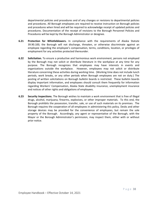departmental policies and procedures and of any changes or revisions to departmental policies and procedures. All Borough employees are required to receive instruction on Borough policies and procedures when hired and will be required to acknowledge receipt of updated policies and procedures. Documentation of the receipt of revisions to the Borough Personnel Policies and Procedures will be kept by the Borough Administrator or designee.

- **6.21 Protection for Whistleblowers.** In compliance with the requirements of Alaska Statute 39.90.100, the Borough will not discharge, threaten, or otherwise discriminate against an employee regarding the employee's compensation, terms, conditions, location, or privileges of employment for any activities protected thereunder.
- **6.22 Solicitation.** To ensure a productive and harmonious work environment, persons not employed by the Borough may not solicit or distribute literature in the workplace at any time for any purpose. The Borough recognizes that employees may have interests in events and organizations outside the workplace. However, employees may not solicit or distribute literature concerning these activities during working time. (Working time does not include lunch periods, work breaks, or any other periods when Borough employees are not on duty.) The posting of written solicitations on Borough bulletin boards is restricted. These bulletin boards display important information, and employees should consult them frequently for information regarding Workers' Compensation, Alaska State disability insurance, unemployment insurance and notices of other rights and obligations of employees.
- **6.23 Security Inspections.** The Borough wishes to maintain a work environment that is free of illegal drugs, alcohol, marijuana, firearms, explosives, or other improper materials. To this end, the Borough prohibits the possession, transfer, sale, or use of such materials on its premises. The Borough requires the cooperation of all employees in administering this policy. Desks and other storage devices may be provided for the convenience of employees, but remain the sole property of the Borough. Accordingly, any agent or representative of the Borough, with the Mayor or the Borough Administrator's permission, may inspect them, either with or without prior notice.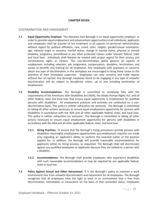# **CHAPTER SEVEN**

# DISCRIMINATION AND HARASSMENT

- **7.1 Equal Opportunity Employer.** The Aleutians East Borough is an equal opportunity employer. In order to provide equal employment and advancement opportunities to all individuals, applicants and employees shall be assured of fair treatment in all aspects of personnel administration without regard for political affiliation, race, creed, color, religion, gender/sexual orientation, age, national origin or ancestry, marital status, change in marital status, physical or mental disability, pregnancy, parenthood or any other protected classes under relevant federal, state and local laws. Individuals shall likewise be treated with proper regard for their privacy and constitutional rights as citizens. This non-discrimination policy governs all aspects of employment including selection, job assignment, compensation, discipline, termination, and access to benefits and training for all employees. Any employees with questions or concerns about any type of discrimination in the workplace are encouraged to bring these issues to the attention of their immediate supervisor. Employees can raise concerns and make reports without fear of reprisal. Any Borough employee found to be engaging in any type of unlawful discrimination will be subject to disciplinary action, up to and including termination of employment.
- **7.2 Disability Accommodations.** The Borough is committed to complying fully with the requirements of the Americans with Disabilities Act (ADA), the Alaska Human Rights Act, and all other federal, state and local laws that ensure equal opportunity in employment for qualified persons with disabilities. All employment practices and activities are conducted on a nondiscriminatory basis. This policy is neither exhaustive nor exclusive. The Borough is committed to taking all other actions necessary to ensure equal employment opportunity for persons with disabilities in accordance with the ADA and all other applicable federal, state, and local laws. This policy is neither exhaustive nor exclusive. The Borough is committed to taking all other actions necessary to ensure equal employment opportunity for persons with disabilities in accordance with the ADA and all other applicable federal, state, and local laws.
	- **7.2.1 Hiring Practices.** To ensure that the Borough's hiring procedures provide persons with disabilities meaningful employment opportunities, pre-employment inquiries are made only regarding an applicant's ability to perform the essential duties of the position applied for. In addition, the Borough will provide reasonable accommodations for applicants within its hiring process, as requested. The Borough shall not discriminate against any qualified employees or applicants because they are related to a person with a disability.
	- **7.2.2 Accommodations.** The Borough shall provide employees who experience disabilities with such reasonable accommodations as may be required by any applicable federal, state or local law.
- **7.3 Policy Against Sexual and Other Harassment.** It is the Borough's policy to maintain a work environment free from unlawful discrimination and harassment for all employees. The Borough recognizes that all employees have the right to work in an environment that is free from discrimination, intimidation or harassment on the basis of their protected status. Employees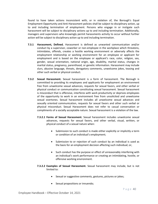found to have taken actions inconsistent with, or in violation of, the Borough's Equal Employment Opportunity and Anti-Harassment policies shall be subject to disciplinary action, up to and including termination of employment. Persons who engage in or instigate such harassment will be subject to disciplinary actions up to and including termination. Additionally, managers and supervisors who knowingly permit harassments activity to occur without further action will be subject to disciplinary action up to and including termination.

- **7.3.1 Harassment, Defined.** Harassment is defined as unwanted communication and/or conduct by a supervisor, coworker or non-employee in the workplace which threatens, intimidates, offends, creates a hostile working environment or adversely affects the employment relationship or working environment for an employee or applicant for employment and is based on the employee or applicant's race, color, religion, sex, gender, sexual orientation, national origin, age, disability, marital status, changes in marital status, pregnancy, parenthood, or genetic information. Harassment may include slurs, abusive language, threats, derogatory comments, unwelcome jokes, teasing and other such verbal or physical conduct.
- **7.3.2 Sexual Harassment.** Sexual harassment is a form of harassment. The Borough is committed to providing its employees and applicants for employment an environment free from unwelcome sexual advances, requests for sexual favors, and other verbal or physical conduct or communication constituting sexual harassment. Sexual harassment is misconduct that is offensive, interferes with work productivity or deprives employees of the opportunity to work in an environment free from unsolicited and unwelcome sexual overtones. Sexual harassment includes all unwelcome sexual advances and sexually oriented communication, requests for sexual favors and other such verbal or physical misconduct. Sexual Harassment does not refer to casual conversation or compliments of a socially acceptable nature. Sexual harassment is a violation of the law.
	- **7.3.2.1 Forms of Sexual Harassment.** Sexual harassment includes unwelcome sexual advances, requests for sexual favors, and other verbal, visual, written, or physical conduct of a sexual nature when:
		- Submission to such conduct is made either explicitly or implicitly a term or condition of an individual's employment;
		- Submission to or rejection of such conduct by an individual is used as the basis for an employment decision affecting such individual; or,
		- Such conduct has the purpose or effect of unreasonably interfering with an individual's work performance or creating an intimidating, hostile, or offensive working environment.
	- **7.3.2.2 Examples of Sexual Harassment.** Sexual harassment may include, but is not limited to:
		- Sexual or suggestive comments, gestures, pictures or jokes;
		- Sexual propositions or innuendo;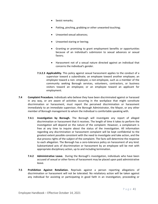- Sexist remarks;
- Patting, pinching, grabbing or other unwanted touching;
- Unwanted sexual advances;
- Unwanted staring or leering;
- Granting or promising to grant employment benefits or opportunities because of an individual's submission to sexual advances or sexual favors;
- Harassment not of a sexual nature directed against an individual that concerns the individual's gender.
- **7.3.2.3 Applicability.** This policy against sexual harassment applies to the conduct of a supervisor toward a subordinate; an employee toward another employee; an employee toward a non- employee; a non-employee, such as a member of the community seeking Borough services, volunteers, contractors, or business visitors toward an employee; or an employee toward an applicant for employment.
- **7.4 Complaint Procedure.** Individuals who believe they have been discriminated against or harassed in any way, or are aware of activities occurring in the workplace that might constitute discrimination or harassment, must report the perceived discrimination or harassment immediately to an immediate supervisor, the Borough Administrator, the Mayor, or any other member of Borough management to whom the individual is comfortable speaking with.
	- **7.4.1 Investigation by Borough.** The Borough will investigate any report of alleged discrimination or harassment that it receives. The length of time it takes to perform the investigation will depend on the nature of the complaint. However, a complainant is free at any time to inquire about the status of the investigation. All information regarding any discrimination or harassment complaint will be kept confidential to the greatest extent possible consistent with the need to investigate and take action, and the due process rights of the subject of the complaint. The facts will determine the response to each allegation. The Borough has a zero-tolerance policy on harassment of any kind. Substantiated acts of discrimination or harassment by an employee will be met with appropriate disciplinary action, up to and including termination.
	- **7.4.2 Administrative Leave.** During the Borough's investigation, individuals who have been accused of sexual or other forms of harassment may be placed upon paid administrative leave.
- **7.5 Prohibition Against Retaliation.** Reprisals against a person reporting allegations of discrimination or harassment will not be tolerated. No retaliatory action will be taken against any individual for assisting or participating in good faith in an investigation, proceeding or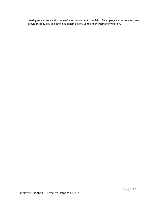hearing related to any discrimination or harassment complaint. An employee who violates these provisions may be subject to disciplinary action, up to and including termination.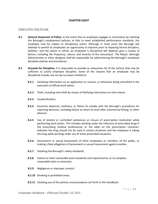# **CHAPTER EIGHT**

# EMPLOYEE DISCIPLINE

- **8.1 General Statement of Policy.** In the event that an employee engages in misconduct by violating the Borough's employment policies, or fails to meet established performance standards, the employee may be subject to disciplinary action. Although in most cases the Borough will attempt to permit its employees an opportunity to improve prior to imposing formal discipline, whether, and the extent to which, an employee is disciplined will depend upon a variety of factors, including the frequency, nature, and severity of the misconduct. The Mayor, Borough Administrator or other designee shall be responsible for administering the Borough's employee discipline policies and procedures.
- **8.2 Grounds for Discipline.** It is impossible to provide an exhaustive list of the actions that may be sufficient to justify employee discipline. Some of the reasons that an employee may be disciplined include, but are by no means limited to:
	- **8.2.1** Falsifying information on an application or resume, or otherwise being untruthful in the execution of official work duties.
	- **8.2.2** Theft, including time theft by means of falsifying information on time sheets.
	- **8.2.3** Insubordination.
	- **8.2.4** Excessive absences, tardiness, or failure to comply with the Borough's procedures for reporting absences, including failure to return to work after commercial fishing, or other absence.
	- **8.2.5** Use of alcohol or controlled substances or misuse of prescription medication while performing work duties. This includes working under the influence of prescribed drugs if the prescribing medical professional, or the label on the prescription container, indicates the drug should not be used in certain situations and the employee is taking the drug while working under any of those proscribed situations.
	- **8.2.6** Harassment or sexual harassment of other employees or members of the public, or making a false allegation of harassment or sexual harassment against another.
	- **8.2.7** Violating the Borough's safety standards.
	- **8.2.8** Failure to meet reasonable work standards and requirements, or to complete reasonable tasks as necessary.
	- **8.2.9** Negligence or improper conduct.
	- **8.2.10** Smoking in prohibited areas.
	- **8.2.11** Violating any of the policies and procedures set forth in this Handbook.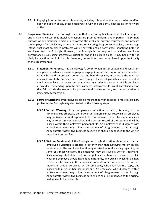- **8.2.12** Engaging in other forms of misconduct, including misconduct that has an adverse effect upon the ability of any other employee to fully and efficiently execute his or her work duties.
- **8.3 Progressive Discipline.** The Borough is committed to ensuring fair treatment of all employees and in making certain that disciplinary actions are prompt, uniform, and impartial. The primary purpose of any disciplinary action is to correct the problem, prevent recurrence, and prepare the employee for satisfactory service in the future. By using progressive discipline, the Borough intends that most employee problems will be corrected at an early stage, benefiting both the employee and the Borough. However, the Borough is not required to address employee performance issues using progressive discipline, and if it elects to do so, it may begin with the disciplinary action that it, in its sole discretion, determines is warranted based upon the totality of the circumstances.
	- **8.3.1 Statement of Purpose.** It is the Borough's policy to administer equitable and consistent discipline in instances where employees engage in unsatisfactory or improper conduct. Although it is the Borough's policy that the best disciplinary measure is the one that does not have to be enforced and comes from good leadership and fair supervision at all employment levels, it recognizes that there may exist instances in which employee misconduct, depending upon the circumstances, will warrant forms of disciplinary action that fall outside the scope of its progressive discipline system, such as suspension or immediate termination.
	- **8.3.2 Forms of Discipline.** Progressive discipline means that, with respect to most disciplinary problems, the Borough may elect to follow the following steps:
		- **8.3.2.1 Verbal Warning.** If an employee's infraction is minor, isolated, or the circumstances otherwise do not warrant a more serious response, an employee may be issued an oral reprimand. Such reprimands should be made in such a way as to ensure confidentiality, and a written record of the reprimand will be placed within the employee's personnel file. An employee who disagrees with an oral reprimand may submit a statement of disagreement to the Borough Administrator within five business days, which shall be appended to the written record in his or her file.
		- **8.3.2.2 Written Reprimand.** If the Borough, in its sole discretion, determines that an employee's violation is greater in severity than that justifying merely an oral reprimand, or the employee has already received an oral warning regarding the same or similar violation, the employee may be issued a written reprimand. Such warnings shall clearly set out the policies that have been violated, explain what the employee should have done differently, and explain which disciplinary steps may be taken if the employee commits other violations. The written reprimand should be signed by the employee, who shall retain a copy, and placed within his or her personnel file. An employee who disagrees with a written reprimand may submit a statement of disagreement to the Borough Administrator within five business days, which shall be appended to the original maintained in his or her file.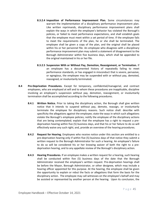- **8.3.2.4 Imposition of Performance Improvement Plan.** Some circumstances may warrant the implementation of a disciplinary performance improvement plan. Like written reprimands, disciplinary performance improvement plans shall explain the ways in which the employee's behavior has violated the Borough's policies, or failed to meet performance expectations, and shall establish goals that the employee must meet within a set period of time. If the employee fails to meet the requirements of the plan, he or she shall be terminated. The employee shall be given a copy of the plan, and the original shall be placed within his or her personnel file. An employee who disagrees with a disciplinary performance improvement plan may submit a statement of disagreement to the Borough Administrator within five business days, which shall be appended to the original maintained in his or her file.
- **8.3.2.5 Suspension With or Without Pay, Demotion, Reassignment, or Termination.** If an employee has a documented history of repeatedly failing to meet performance standards, or has engaged in misconduct that is severe, pervasive, or egregious, the employee may be suspended with or without pay, demoted, reassigned, or involuntarily terminated.
- **8.4 Pre-Deprivation Procedures.** Except for temporary, confidential/managerial, and contract employees, who are employed at will and to whom these procedures are inapplicable, discipline involving an employee's suspension without pay, demotion, reassignment, or involuntarily termination shall be accomplished according to the following procedures.
	- **8.4.1 Written Notice.** Prior to taking the disciplinary action, the Borough shall give written notice that it intends to suspend without pay, demote, reassign, or involuntarily terminate the employee for disciplinary reasons. Such notice shall: describe with specificity the allegations against the employee; state the ways in which such allegations violate the Borough's employee policies; notify the employee of the disciplinary actions that are being contemplated; explain that the employee has a right to request a predeprivation hearing within five (5) business days, and that his or her failure to do so will effectively waive any such right; and, provide an overview of the hearing procedures.
	- **8.4.2 Request for Hearing.** Employees who receive notice under this section are entitled to a pre-deprivation hearing only if within five (5) business days of that notice they submit a written request to the Borough Administrator for such a hearing. An employee's failure to do so will be considered his or her knowing waiver of both the right to a predeprivation hearing, and to any appellate review of the Borough's disciplinary action.
	- **8.4.3 Hearing Procedures.** If an employee makes a written request for a hearing, such hearing shall be conducted within five (5) business days of the date that the Borough Administrator received the employee's written request. Pre-deprivation hearings shall be before the Mayor, Borough Administrator, or other designee, which may include a hearing officer appointed for this purpose. At the hearing, the employee shall be given the opportunity to explain or rebut the facts or allegations that form the basis for the disciplinary action. The employee may call witnesses on the employee's behalf and may be assisted or represented by another person at the hearing. Upon its conclusion, the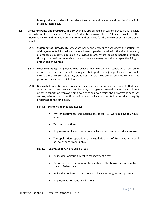Borough shall consider all the relevant evidence and render a written decision within seven business days.

- **8.5 Grievance Policy and Procedure.** The Borough has established a grievance procedure for eligible Borough employees (Sections 2.5 and 2.6 identify employee types / titles ineligible for this grievance policy) and defines Borough policy and practices for the review of certain employee complaints.
	- **8.5.1 Statement of Purpose.** This grievance policy and procedure encourages the settlement of disagreements informally at the employee-supervisor level, with the aim of resolving grievances as quickly as possible. It provides an orderly procedure to handle grievances through the various supervisory levels when necessary and discourages the filing of unfounded grievances.
	- **8.5.2 Grievance Policy.** Employees who believe that any working condition or personnel action is not fair or equitable or negatively impacts their job performance or could interfere with reasonable safety standards and practices are encouraged to utilize the procedure in Section 8.5.4 below.
	- **8.5.3 Grievable Issues.** Grievable issues must concern matters or specific incidents that have occurred; result from an act or omission by management regarding working conditions or other aspects of employee-employer relations over which the department head has control; arise out of a specific situation or act, which has resulted in perceived inequity or damage to the employee.

# **8.5.3.1 Examples of grievable issues:**

- Written reprimands and suspensions of ten (10) working days (80 hours) or less.
- Working conditions.
- Employee/employer relations over which a department head has control.
- The application, operation, or alleged violation of Employee Handbook policy, or department policy.

# **8.5.3.2 Examples of non-grievable issues**:

- An incident or issue subject to management rights.
- An incident or issue relating to a policy of the Mayor and Assembly, or state or federal law.
- An incident or issue that was reviewed via another grievance procedure.
- Employee Performance Evaluations.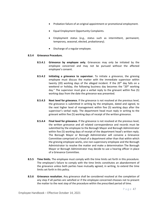- Probation failure of an original appointment or promotional employment.
- Equal Employment Opportunity Complaints.
- Employment status (e.g., status such as intermittent, permanent, temporary, seasonal, elected, probationary).
- Discharge of a regular employee.

# **8.5.4 Grievance Procedure.**

- **8.5.4.1 Grievance by employee only.** Grievances may only be initiated by the employee concerned and may not be pursued without the affected employee's consent.
- **8.5.4.2 Initiating a grievance to supervisor.** To initiate a grievance, the grieving employee must discuss the matter with the immediate supervisor within twenty (20) working days of the alleged incident. If the  $20<sup>th</sup>$  day falls on a weekend or holiday, the following business day becomes the "20<sup>th</sup> working" day." The supervisor must give a verbal reply to the grievant within five (5) working days from the date the grievance was presented.
- **8.5.4.3 Next level for grievance.** If the grievance is not resolved at the previous level, the grievance is submitted in writing by the employee, dated and signed, to the next higher level of management within five (5) working days after the supervisor's verbal reply. The department head must reply in writing to the grievant within five (5) working days of receipt of the written grievance.
- **8.5.4.4 Final level for grievance.** If the grievance is not resolved at the previous level, the written grievance and all related correspondence and records must be submitted by the employee to the Borough Mayor and Borough Administrator within five (5) working days of receipt of the department head's written reply. The Borough Mayor or Borough Administrator will convene a Grievance Committee comprised of a head of a department other than that within which the grieving employee works, one non-supervisory employee and the Borough Administrator to resolve the matter and make a determination The Borough Mayor or Borough Administrator may decide to use a hearing officer in place of a Grievance Committee.
- **8.5.5 Time limits.** The employee must comply with the time limits set forth in this procedure. The employee's failure to comply with the time limits constitutes an abandonment of the grievance unless both parties have mutually agreed, in writing, to extend the time limits set forth in this policy.
- **8.5.6 Grievance resolution.** Any grievance shall be considered resolved at the completion of any step if all parties are satisfied or if the employee concerned chooses not to present the matter to the next step of the procedure within the prescribed period of time.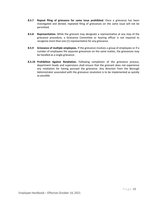- **8.5.7 Repeat filing of grievance for same issue prohibited.** Once a grievance has been investigated and denied, repeated filing of grievances on the same issue will not be permitted.
- **8.5.8 Representation.** While the grievant may designate a representative at any step of the grievance procedure, a Grievance Committee or hearing officer is not required to recognize more than one (1) representative for any grievance.
- **8.5.9 Grievance of multiple employees.** If the grievance involves a group of employees or if a number of employees file separate grievances on the same matter, the grievances may be handled as a single grievance.
- **8.5.10 Prohibition Against Retaliation.** Following completion of the grievance process, department heads and supervisors shall ensure that the grievant does not experience any retaliation for having pursued the grievance. Any direction from the Borough Administrator associated with the grievance resolution is to be implemented as quickly as possible.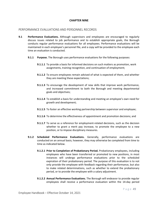# **CHAPTER NINE**

# PERFORMANCE EVALUATIONS AND PERSONNEL RECORDS

- **9.1 Performance Evaluations.** Although supervisors and employees are encouraged to regularly discuss issues related to job performance and to establish appropriate goals, the Borough conducts regular performance evaluations for all employees. Performance evaluations will be maintained in each employee's personnel file, and a copy will be provided to the employee each time an evaluation is conducted.
	- **9.1.1 Purpose.** The Borough uses performance evaluations for the following purposes:
		- **9.1.1.1** To provide a basis for informed decisions on such matters as promotion, work assignments, training recognition, and continuation of employment;
		- **9.1.1.2** To ensure employees remain advised of what is expected of them, and whether they are meeting these expectations;
		- **9.1.1.3** To encourage the development of new skills that improve work performance, and increased commitment to both the Borough and meeting departmental goals and objectives;
		- **9.1.1.4** To establish a basis for understanding and meeting an employee's own need for growth and development;
		- **9.1.1.5** To foster an effective working partnership between supervisor and employee;
		- **9.1.1.6** To determine the effectiveness of appointment and promotion decisions; and
		- **9.1.1.7** To serve as a reference for employment-related decisions, such as the decision whether to grant a merit pay increase, to promote the employee to a new position, or to impose disciplinary measures.
	- **9.1.2 Scheduled Performance Evaluations.** Generally, performance evaluations are conducted on an annual basis; however, they may otherwise be completed from time to time as indicated below.
		- **9.1.2.1 Prior to Completion of Probationary Period.** Probationary employees, including employees who have been transferred or promoted to new positions, in most instances will undergo performance evaluations prior to the scheduled expiration of their probationary period. The purpose of this evaluation is to not only provide the employee with feedback regarding their performance, but also to make related determinations, such as whether to extend the probationary period, or to provide the employee with a salary adjustment.
		- **9.1.2.2 Annual Performance Evaluations.** The Borough will endeavor to provide regular employees shall receive a performance evaluation within the 14-day period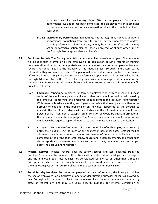prior to their first anniversary date. After an employee's first annual performance evaluation has been completed, the employee will in most cases subsequently receive a performance evaluation prior to the completion of each fiscal year.

- **9.1.2.3 Discretionary Performance Evaluations.** The Borough may conduct additional performance evaluations from time to time as deemed necessary to address specific performance-related matters, as may be necessary after a disciplinary action or corrective action plan has been completed, or at such other time as the Borough deems appropriate and beneficial.
- **9.2 Employee Records.** The Borough maintains a personnel file on each employee. The personnel file includes such information as the employee's job application, resume, records of training, documentation of performance appraisals and salary increases, and other employment-related records. Personnel files are the property of the Aleutians East Borough, and access to the information they contain is restricted. The personnel records shall remain locked in the Finance Office at all times. Disciplinary records and performance appraisals shall remain locked in the Borough Administrator's Office. Generally, only supervisors and management personnel of the Aleutians East Borough and those who have a legitimate reason to review information in a file are allowed to do so.
	- **9.2.1 Employee Inspection.** Employees or former employee who wish to inspect and make copies of the employee's personnel file and other personnel information maintained by the employer concerning the employee should contact the Borough Administrator. With reasonable advance notice, employees may review their own personnel files in the Borough offices and in the presence of an individual appointed by the Borough to maintain the files. In accordance with applicable law, the information in an employee's personnel file is confidential except such information as would be public information in the personnel file of a state employee. The Borough may require an employee or former employee who requests copies of material to pay the reasonable cost of duplication.
	- **9.2.2 Changes to Personnel Information.** It is the responsibility of each employee to promptly notify the Aleutians East Borough of any changes in personnel data. Personal mailing addresses, telephone numbers, number and names of dependents, individuals to be contacted in the event of an emergency, educational accomplishments, and other such status reports should always be accurate and current. If any personnel data has changed notify the Borough Administrator.
- **9.3 Medical Records.** Medical records shall be safely secured and kept separate from the employee's personnel file. Access to these files shall be restricted to the Mayor or his designee and the employee. Such records shall not be released for any reason other than a medical emergency, in which event they may be released to a licensed health care practitioner, unless the employee gives written consent allowing the release of his/her medical file.
- **9.4 Social Security Numbers.** To protect employees' personal information, the Borough prohibits the use of employees Social Security numbers for identification purposes, except as allowed by law. Borough will continue to collect, use, or release Social Security numbers as required by state or federal law, and may use Social Security numbers for internal verification or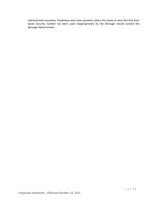administrative purposes. Employees who have questions about this policy or who feel that their Social Security number has been used inappropriately by the Borough should contact the Borough Administrator.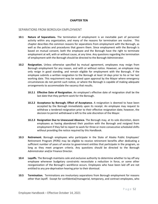# **CHAPTER TEN**

# SEPARATIONS FROM BOROUGH EMPLOYMENT

- **10.1 Nature of Separations.** The termination of employment is an inevitable part of personnel activity within any organization, and many of the reasons for termination are routine. This chapter describes the common reasons for separations from employment with the Borough, as well as the policies and procedures that govern them. Since employment with the Borough is based on mutual consent, both the employee and the Borough have the right to terminate employment at will, with or without cause, at any time. Any questions regarding the termination of employment with the Borough should be directed to the Borough Administrator.
- **10.2 Resignation.** Unless otherwise specified by mutual agreement, employees may resign from Borough employment for any reason, and with or without notice. However, an employee may only resign in good standing, and remain eligible for employment with the Borough, if the employee submits a written resignation to the Borough at least 14 days prior to his or her last working date. This requirement may be waived upon approval by the Mayor where emergency circumstances do not permit such notice, or where the Borough is capable of making adequate arrangements to accommodate the vacancy that results.
	- **10.2.1 Effective Date of Resignation.** An employee's effective date of resignation shall be the last date that they perform work for the Borough.
	- **10.2.2 Acceptance by Borough; Effect of Acceptance.** A resignation is deemed to have been accepted by the Borough immediately upon its receipt. An employee may request to withdraw a tendered resignation prior to their effective resignation date; however, the decision to permit withdrawal is left to the sole discretion of the Mayor.
	- **10.2.3 Resignation Due to Unexcused Absence.** The Borough may, at its sole discretion, deem employees as having abandoned their position with the Borough and resigned from employment if they fail to report to work for three or more consecutive scheduled shifts without providing the notice required by this Handbook.
- **10.3 Retirement.** Borough employees who participate in the State of Alaska Public Employees' Retirement Program (PERS) may be eligible to receive retirement benefits after dedicating a sufficient number of years of service to government entities that participate in the program, so long as they meet program criteria. Any questions should be directed to the Borough Administrator and/or Finance Director.
- **10.4 Layoffs.** The Borough maintains sole and exclusive authority to determine whether to lay off any employee whenever budgetary constraints necessitate a reduction in force, or some other reorganization of the Borough's workforce occurs. Employees who have been laid off are not entitled to any pre-deprivation hearing prior to their dismissal.
- **10.5 Termination.** Terminations are involuntary separations from Borough employment for reasons other than layoff. Except for confidential/managerial, temporary, and contract employees, who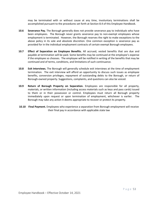may be terminated with or without cause at any time, involuntary terminations shall be accomplished pursuant to the procedures set forth at Section 8.4 of this Employee Handbook.

- **10.6 Severance Pay.** The Borough generally does not provide severance pay to individuals who have been employees. The Borough never grants severance pay to non-exempt employees whose employment is terminated. However, the Borough reserves the right to make exceptions to the above policy in its sole and absolute discretion. One common exception is severance pay as provided for in the individual employment contracts of certain exempt Borough employees.
- **10.7 Effect of Separation on Employee Benefits.** All accrued, vested benefits that are due and payable at termination will be paid. Some benefits may be continued at the employee's expense if the employee so chooses. The employee will be notified in writing of the benefits that may be continued and of terms, conditions, and limitations of such continuance.
- **10.8 Exit Interviews.** The Borough will generally schedule exit interviews at the time of employment termination. The exit interview will afford an opportunity to discuss such issues as employee benefits, conversion privileges, repayment of outstanding debts to the Borough, or return of Borough-owned property. Suggestions, complaints, and questions can also be voiced.
- **10.9 Return of Borough Property on Separation.** Employees are responsible for all property, materials, or written information (including access materials such as keys and pass cards) issued to them or in their possession or control. Employees must return all Borough property immediately upon request or upon termination of employment, whichever is earlier. The Borough may take any action it deems appropriate to recover or protect its property.
- **10.10 Final Payment.** Employees who experience a separation from Borough employment will receive their final pay in accordance with applicable state law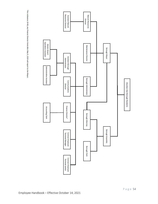\*Per ordinance 19-08, any Finance Director hired after May 9, 2019 will report to the Mayor.